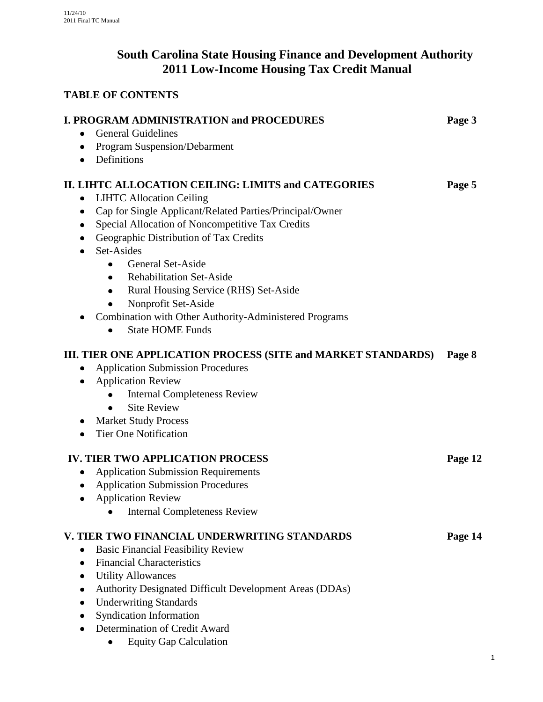# **South Carolina State Housing Finance and Development Authority 2011 Low-Income Housing Tax Credit Manual**

# **TABLE OF CONTENTS**

| <b>I. PROGRAM ADMINISTRATION and PROCEDURES</b><br><b>General Guidelines</b><br>Program Suspension/Debarment<br>٠                                                                                                                                                                                                                                                                                                                    | Page 3  |
|--------------------------------------------------------------------------------------------------------------------------------------------------------------------------------------------------------------------------------------------------------------------------------------------------------------------------------------------------------------------------------------------------------------------------------------|---------|
| Definitions<br>$\bullet$<br>II. LIHTC ALLOCATION CEILING: LIMITS and CATEGORIES<br><b>LIHTC Allocation Ceiling</b><br>$\bullet$<br>Cap for Single Applicant/Related Parties/Principal/Owner<br>٠<br>Special Allocation of Noncompetitive Tax Credits<br>Geographic Distribution of Tax Credits<br>Set-Asides<br>٠<br>General Set-Aside<br><b>Rehabilitation Set-Aside</b><br>$\bullet$<br>Rural Housing Service (RHS) Set-Aside<br>٠ | Page 5  |
| Nonprofit Set-Aside<br>Combination with Other Authority-Administered Programs<br><b>State HOME Funds</b><br>$\bullet$                                                                                                                                                                                                                                                                                                                |         |
| III. TIER ONE APPLICATION PROCESS (SITE and MARKET STANDARDS)<br><b>Application Submission Procedures</b><br><b>Application Review</b><br>٠<br><b>Internal Completeness Review</b><br>$\bullet$<br><b>Site Review</b><br><b>Market Study Process</b><br><b>Tier One Notification</b>                                                                                                                                                 | Page 8  |
| <b>IV. TIER TWO APPLICATION PROCESS</b><br><b>Application Submission Requirements</b><br><b>Application Submission Procedures</b><br><b>Application Review</b><br>$\bullet$<br><b>Internal Completeness Review</b>                                                                                                                                                                                                                   | Page 12 |
| V. TIER TWO FINANCIAL UNDERWRITING STANDARDS<br><b>Basic Financial Feasibility Review</b><br>$\bullet$<br><b>Financial Characteristics</b><br>$\bullet$<br><b>Utility Allowances</b><br>٠<br>Authority Designated Difficult Development Areas (DDAs)<br><b>Underwriting Standards</b><br><b>Syndication Information</b><br>Determination of Credit Award<br><b>Equity Gap Calculation</b>                                            | Page 14 |

1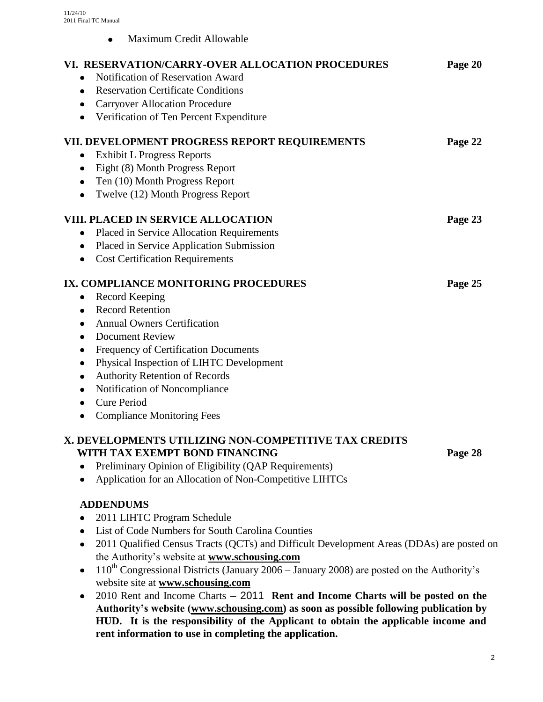Maximum Credit Allowable  $\bullet$ 

| VI. RESERVATION/CARRY-OVER ALLOCATION PROCEDURES<br>Notification of Reservation Award<br><b>Reservation Certificate Conditions</b><br><b>Carryover Allocation Procedure</b><br>Verification of Ten Percent Expenditure                                                                                                                                                                  | Page 20 |  |
|-----------------------------------------------------------------------------------------------------------------------------------------------------------------------------------------------------------------------------------------------------------------------------------------------------------------------------------------------------------------------------------------|---------|--|
| VII. DEVELOPMENT PROGRESS REPORT REQUIREMENTS<br><b>Exhibit L Progress Reports</b><br>Eight (8) Month Progress Report<br>Ten (10) Month Progress Report<br>Twelve (12) Month Progress Report                                                                                                                                                                                            | Page 22 |  |
| VIII. PLACED IN SERVICE ALLOCATION<br>Placed in Service Allocation Requirements<br>Placed in Service Application Submission<br><b>Cost Certification Requirements</b>                                                                                                                                                                                                                   | Page 23 |  |
| IX. COMPLIANCE MONITORING PROCEDURES<br>Record Keeping<br>$\bullet$<br><b>Record Retention</b><br><b>Annual Owners Certification</b><br><b>Document Review</b><br>Frequency of Certification Documents<br>Physical Inspection of LIHTC Development<br><b>Authority Retention of Records</b><br>Notification of Noncompliance<br><b>Cure Period</b><br><b>Compliance Monitoring Fees</b> | Page 25 |  |
| X. DEVELOPMENTS UTILIZING NON-COMPETITIVE TAX CREDITS<br>WITH TAX EXEMPT BOND FINANCING<br>Preliminary Opinion of Eligibility (QAP Requirements)<br>Application for an Allocation of Non-Competitive LIHTCs                                                                                                                                                                             | Page 28 |  |
| <b>ADDENDUMS</b>                                                                                                                                                                                                                                                                                                                                                                        |         |  |

- 2011 LIHTC Program Schedule
- List of Code Numbers for South Carolina Counties
- 2011 Qualified Census Tracts (QCTs) and Difficult Development Areas (DDAs) are posted on the Authority's website at **[www.schousing.com](http://www.schousing.com/)**
- $110^{th}$  Congressional Districts (January 2006 January 2008) are posted on the Authority's website site at **[www.schousing.com](http://www.schousing.com/)**
- 2010 Rent and Income Charts 2011 **Rent and Income Charts will be posted on the Authority's website [\(www.schousing.com\)](http://www.schousing.us/) as soon as possible following publication by HUD. It is the responsibility of the Applicant to obtain the applicable income and rent information to use in completing the application.**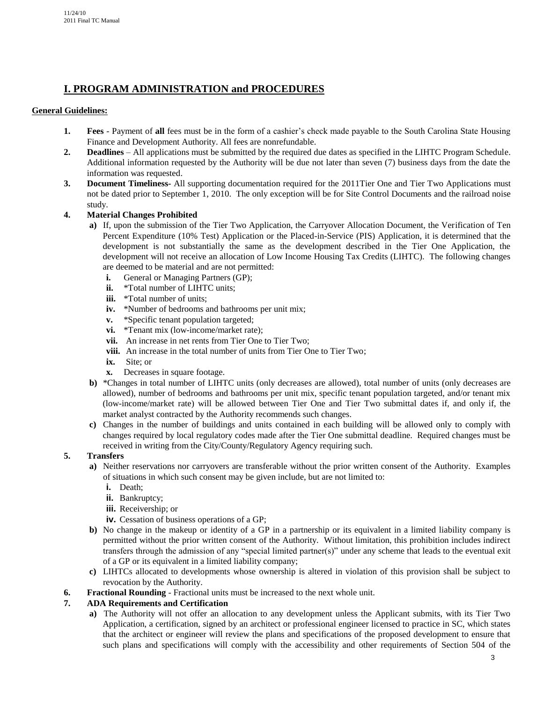# **I. PROGRAM ADMINISTRATION and PROCEDURES**

# **General Guidelines:**

- **1. Fees** Payment of **all** fees must be in the form of a cashier's check made payable to the South Carolina State Housing Finance and Development Authority. All fees are nonrefundable.
- **2. Deadlines** All applications must be submitted by the required due dates as specified in the LIHTC Program Schedule. Additional information requested by the Authority will be due not later than seven (7) business days from the date the information was requested.
- **3. Document Timeliness-** All supporting documentation required for the 2011Tier One and Tier Two Applications must not be dated prior to September 1, 2010. The only exception will be for Site Control Documents and the railroad noise study.

# **4. Material Changes Prohibited**

- **a)** If, upon the submission of the Tier Two Application, the Carryover Allocation Document, the Verification of Ten Percent Expenditure (10% Test) Application or the Placed-in-Service (PIS) Application, it is determined that the development is not substantially the same as the development described in the Tier One Application, the development will not receive an allocation of Low Income Housing Tax Credits (LIHTC). The following changes are deemed to be material and are not permitted:
	- **i.** General or Managing Partners (GP);
	- **ii.** \*Total number of LIHTC units;
	- **iii.** \*Total number of units;
	- **iv.** \*Number of bedrooms and bathrooms per unit mix;
	- **v.** \*Specific tenant population targeted;
	- **vi.** \*Tenant mix (low-income/market rate);
	- **vii.** An increase in net rents from Tier One to Tier Two;
	- **viii.** An increase in the total number of units from Tier One to Tier Two;
	- **ix.** Site; or
	- **x.** Decreases in square footage.
- **b)** \*Changes in total number of LIHTC units (only decreases are allowed), total number of units (only decreases are allowed), number of bedrooms and bathrooms per unit mix, specific tenant population targeted, and/or tenant mix (low-income/market rate) will be allowed between Tier One and Tier Two submittal dates if, and only if, the market analyst contracted by the Authority recommends such changes.
- **c)** Changes in the number of buildings and units contained in each building will be allowed only to comply with changes required by local regulatory codes made after the Tier One submittal deadline. Required changes must be received in writing from the City/County/Regulatory Agency requiring such.

#### **5. Transfers**

- **a)** Neither reservations nor carryovers are transferable without the prior written consent of the Authority. Examples of situations in which such consent may be given include, but are not limited to:
	- **i.** Death;
	- **ii.** Bankruptcy;
	- **iii.** Receivership; or
	- **iv.** Cessation of business operations of a GP;
- **b)** No change in the makeup or identity of a GP in a partnership or its equivalent in a limited liability company is permitted without the prior written consent of the Authority. Without limitation, this prohibition includes indirect transfers through the admission of any "special limited partner(s)" under any scheme that leads to the eventual exit of a GP or its equivalent in a limited liability company;
- **c)** LIHTCs allocated to developments whose ownership is altered in violation of this provision shall be subject to revocation by the Authority.
- **6. Fractional Rounding** Fractional units must be increased to the next whole unit.

# **7. ADA Requirements and Certification**

**a)** The Authority will not offer an allocation to any development unless the Applicant submits, with its Tier Two Application, a certification, signed by an architect or professional engineer licensed to practice in SC, which states that the architect or engineer will review the plans and specifications of the proposed development to ensure that such plans and specifications will comply with the accessibility and other requirements of Section 504 of the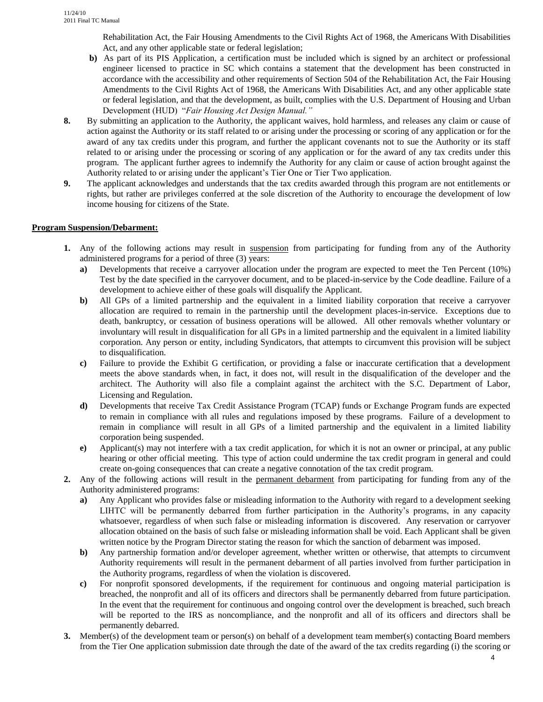Rehabilitation Act, the Fair Housing Amendments to the Civil Rights Act of 1968, the Americans With Disabilities Act, and any other applicable state or federal legislation;

- **b)** As part of its PIS Application, a certification must be included which is signed by an architect or professional engineer licensed to practice in SC which contains a statement that the development has been constructed in accordance with the accessibility and other requirements of Section 504 of the Rehabilitation Act, the Fair Housing Amendments to the Civil Rights Act of 1968, the Americans With Disabilities Act, and any other applicable state or federal legislation, and that the development, as built, complies with the U.S. Department of Housing and Urban Development (HUD) "*Fair Housing Act Design Manual."*
- **8.** By submitting an application to the Authority, the applicant waives, hold harmless, and releases any claim or cause of action against the Authority or its staff related to or arising under the processing or scoring of any application or for the award of any tax credits under this program, and further the applicant covenants not to sue the Authority or its staff related to or arising under the processing or scoring of any application or for the award of any tax credits under this program. The applicant further agrees to indemnify the Authority for any claim or cause of action brought against the Authority related to or arising under the applicant's Tier One or Tier Two application.
- **9.** The applicant acknowledges and understands that the tax credits awarded through this program are not entitlements or rights, but rather are privileges conferred at the sole discretion of the Authority to encourage the development of low income housing for citizens of the State.

#### **Program Suspension/Debarment:**

- **1.** Any of the following actions may result in suspension from participating for funding from any of the Authority administered programs for a period of three (3) years:
	- **a)** Developments that receive a carryover allocation under the program are expected to meet the Ten Percent (10%) Test by the date specified in the carryover document, and to be placed-in-service by the Code deadline. Failure of a development to achieve either of these goals will disqualify the Applicant.
	- **b)** All GPs of a limited partnership and the equivalent in a limited liability corporation that receive a carryover allocation are required to remain in the partnership until the development places-in-service. Exceptions due to death, bankruptcy, or cessation of business operations will be allowed. All other removals whether voluntary or involuntary will result in disqualification for all GPs in a limited partnership and the equivalent in a limited liability corporation. Any person or entity, including Syndicators, that attempts to circumvent this provision will be subject to disqualification.
	- **c)** Failure to provide the Exhibit G certification, or providing a false or inaccurate certification that a development meets the above standards when, in fact, it does not, will result in the disqualification of the developer and the architect. The Authority will also file a complaint against the architect with the S.C. Department of Labor, Licensing and Regulation.
	- **d)** Developments that receive Tax Credit Assistance Program (TCAP) funds or Exchange Program funds are expected to remain in compliance with all rules and regulations imposed by these programs. Failure of a development to remain in compliance will result in all GPs of a limited partnership and the equivalent in a limited liability corporation being suspended.
	- **e)** Applicant(s) may not interfere with a tax credit application, for which it is not an owner or principal, at any public hearing or other official meeting. This type of action could undermine the tax credit program in general and could create on-going consequences that can create a negative connotation of the tax credit program.
- **2.** Any of the following actions will result in the permanent debarment from participating for funding from any of the Authority administered programs:
	- **a)** Any Applicant who provides false or misleading information to the Authority with regard to a development seeking LIHTC will be permanently debarred from further participation in the Authority's programs, in any capacity whatsoever, regardless of when such false or misleading information is discovered. Any reservation or carryover allocation obtained on the basis of such false or misleading information shall be void. Each Applicant shall be given written notice by the Program Director stating the reason for which the sanction of debarment was imposed.
	- **b)** Any partnership formation and/or developer agreement, whether written or otherwise, that attempts to circumvent Authority requirements will result in the permanent debarment of all parties involved from further participation in the Authority programs, regardless of when the violation is discovered.
	- **c)** For nonprofit sponsored developments, if the requirement for continuous and ongoing material participation is breached, the nonprofit and all of its officers and directors shall be permanently debarred from future participation. In the event that the requirement for continuous and ongoing control over the development is breached, such breach will be reported to the IRS as noncompliance, and the nonprofit and all of its officers and directors shall be permanently debarred.
- **3.** Member(s) of the development team or person(s) on behalf of a development team member(s) contacting Board members from the Tier One application submission date through the date of the award of the tax credits regarding (i) the scoring or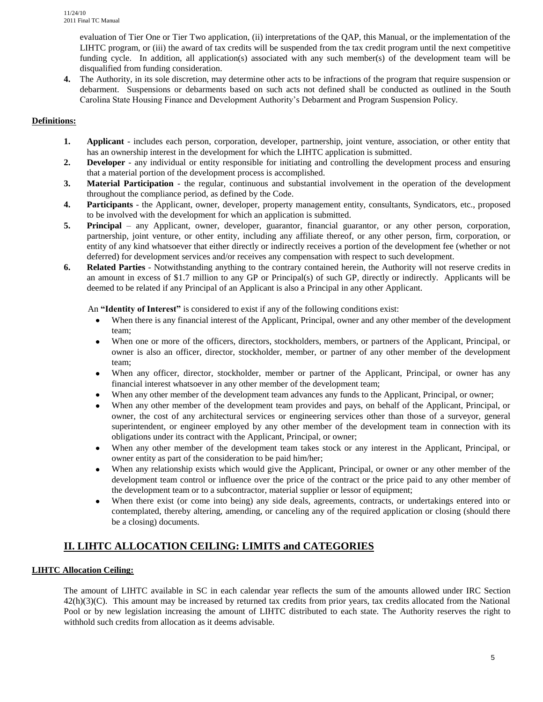evaluation of Tier One or Tier Two application, (ii) interpretations of the QAP, this Manual, or the implementation of the LIHTC program, or (iii) the award of tax credits will be suspended from the tax credit program until the next competitive funding cycle. In addition, all application(s) associated with any such member(s) of the development team will be disqualified from funding consideration.

**4.** The Authority, in its sole discretion, may determine other acts to be infractions of the program that require suspension or debarment. Suspensions or debarments based on such acts not defined shall be conducted as outlined in the South Carolina State Housing Finance and Development Authority's Debarment and Program Suspension Policy.

# **Definitions:**

- **1. Applicant** includes each person, corporation, developer, partnership, joint venture, association, or other entity that has an ownership interest in the development for which the LIHTC application is submitted.
- **2. Developer** any individual or entity responsible for initiating and controlling the development process and ensuring that a material portion of the development process is accomplished.
- **3. Material Participation**  the regular, continuous and substantial involvement in the operation of the development throughout the compliance period, as defined by the Code.
- **4. Participants** the Applicant, owner, developer, property management entity, consultants, Syndicators, etc., proposed to be involved with the development for which an application is submitted.
- **5. Principal** any Applicant, owner, developer, guarantor, financial guarantor, or any other person, corporation, partnership, joint venture, or other entity, including any affiliate thereof, or any other person, firm, corporation, or entity of any kind whatsoever that either directly or indirectly receives a portion of the development fee (whether or not deferred) for development services and/or receives any compensation with respect to such development.
- **6. Related Parties** Notwithstanding anything to the contrary contained herein, the Authority will not reserve credits in an amount in excess of \$1.7 million to any GP or Principal(s) of such GP, directly or indirectly. Applicants will be deemed to be related if any Principal of an Applicant is also a Principal in any other Applicant.

An **"Identity of Interest"** is considered to exist if any of the following conditions exist:

- When there is any financial interest of the Applicant, Principal, owner and any other member of the development team;
- When one or more of the officers, directors, stockholders, members, or partners of the Applicant, Principal, or owner is also an officer, director, stockholder, member, or partner of any other member of the development team;
- When any officer, director, stockholder, member or partner of the Applicant, Principal, or owner has any  $\bullet$ financial interest whatsoever in any other member of the development team;
- When any other member of the development team advances any funds to the Applicant, Principal, or owner;  $\bullet$
- When any other member of the development team provides and pays, on behalf of the Applicant, Principal, or owner, the cost of any architectural services or engineering services other than those of a surveyor, general superintendent, or engineer employed by any other member of the development team in connection with its obligations under its contract with the Applicant, Principal, or owner;
- When any other member of the development team takes stock or any interest in the Applicant, Principal, or  $\bullet$ owner entity as part of the consideration to be paid him/her;
- When any relationship exists which would give the Applicant, Principal, or owner or any other member of the  $\bullet$ development team control or influence over the price of the contract or the price paid to any other member of the development team or to a subcontractor, material supplier or lessor of equipment;
- $\bullet$ When there exist (or come into being) any side deals, agreements, contracts, or undertakings entered into or contemplated, thereby altering, amending, or canceling any of the required application or closing (should there be a closing) documents.

# **II. LIHTC ALLOCATION CEILING: LIMITS and CATEGORIES**

# **LIHTC Allocation Ceiling:**

The amount of LIHTC available in SC in each calendar year reflects the sum of the amounts allowed under IRC Section  $42(h)(3)(C)$ . This amount may be increased by returned tax credits from prior years, tax credits allocated from the National Pool or by new legislation increasing the amount of LIHTC distributed to each state. The Authority reserves the right to withhold such credits from allocation as it deems advisable.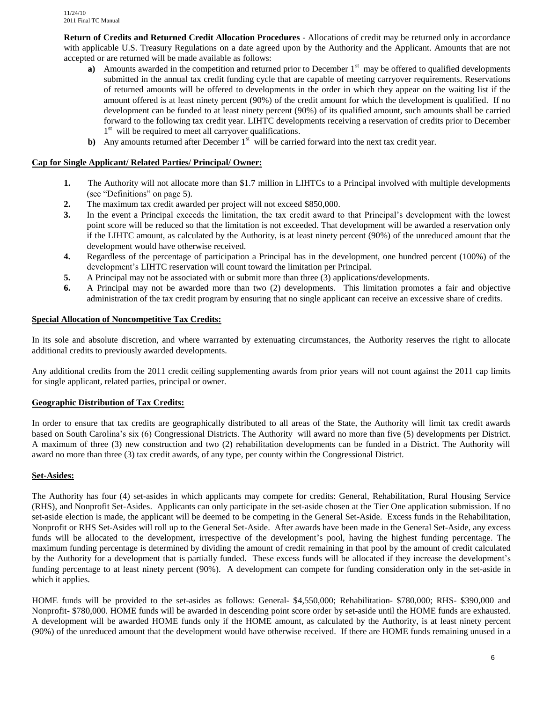**Return of Credits and Returned Credit Allocation Procedures** - Allocations of credit may be returned only in accordance with applicable U.S. Treasury Regulations on a date agreed upon by the Authority and the Applicant. Amounts that are not accepted or are returned will be made available as follows:

- **a**) Amounts awarded in the competition and returned prior to December 1<sup>st</sup> may be offered to qualified developments submitted in the annual tax credit funding cycle that are capable of meeting carryover requirements. Reservations of returned amounts will be offered to developments in the order in which they appear on the waiting list if the amount offered is at least ninety percent (90%) of the credit amount for which the development is qualified. If no development can be funded to at least ninety percent (90%) of its qualified amount, such amounts shall be carried forward to the following tax credit year. LIHTC developments receiving a reservation of credits prior to December 1<sup>st</sup> will be required to meet all carryover qualifications.
- **b**) Any amounts returned after December 1<sup>st</sup> will be carried forward into the next tax credit year.

### **Cap for Single Applicant/ Related Parties/ Principal/ Owner:**

- **1.** The Authority will not allocate more than \$1.7 million in LIHTCs to a Principal involved with multiple developments (see "Definitions" on page 5).
- **2.** The maximum tax credit awarded per project will not exceed \$850,000.
- **3.** In the event a Principal exceeds the limitation, the tax credit award to that Principal's development with the lowest point score will be reduced so that the limitation is not exceeded. That development will be awarded a reservation only if the LIHTC amount, as calculated by the Authority, is at least ninety percent (90%) of the unreduced amount that the development would have otherwise received.
- **4.** Regardless of the percentage of participation a Principal has in the development, one hundred percent (100%) of the development's LIHTC reservation will count toward the limitation per Principal.
- **5.** A Principal may not be associated with or submit more than three (3) applications/developments.
- **6.** A Principal may not be awarded more than two (2) developments. This limitation promotes a fair and objective administration of the tax credit program by ensuring that no single applicant can receive an excessive share of credits.

# **Special Allocation of Noncompetitive Tax Credits:**

In its sole and absolute discretion, and where warranted by extenuating circumstances, the Authority reserves the right to allocate additional credits to previously awarded developments.

Any additional credits from the 2011 credit ceiling supplementing awards from prior years will not count against the 2011 cap limits for single applicant, related parties, principal or owner.

#### **Geographic Distribution of Tax Credits:**

In order to ensure that tax credits are geographically distributed to all areas of the State, the Authority will limit tax credit awards based on South Carolina's six (6) Congressional Districts. The Authority will award no more than five (5) developments per District. A maximum of three (3) new construction and two (2) rehabilitation developments can be funded in a District. The Authority will award no more than three (3) tax credit awards, of any type, per county within the Congressional District.

#### **Set-Asides:**

The Authority has four (4) set-asides in which applicants may compete for credits: General, Rehabilitation, Rural Housing Service (RHS), and Nonprofit Set-Asides. Applicants can only participate in the set-aside chosen at the Tier One application submission. If no set-aside election is made, the applicant will be deemed to be competing in the General Set-Aside. Excess funds in the Rehabilitation, Nonprofit or RHS Set-Asides will roll up to the General Set-Aside. After awards have been made in the General Set-Aside, any excess funds will be allocated to the development, irrespective of the development's pool, having the highest funding percentage. The maximum funding percentage is determined by dividing the amount of credit remaining in that pool by the amount of credit calculated by the Authority for a development that is partially funded. These excess funds will be allocated if they increase the development's funding percentage to at least ninety percent (90%). A development can compete for funding consideration only in the set-aside in which it applies.

HOME funds will be provided to the set-asides as follows: General- \$4,550,000; Rehabilitation- \$780,000; RHS- \$390,000 and Nonprofit- \$780,000. HOME funds will be awarded in descending point score order by set-aside until the HOME funds are exhausted. A development will be awarded HOME funds only if the HOME amount, as calculated by the Authority, is at least ninety percent (90%) of the unreduced amount that the development would have otherwise received. If there are HOME funds remaining unused in a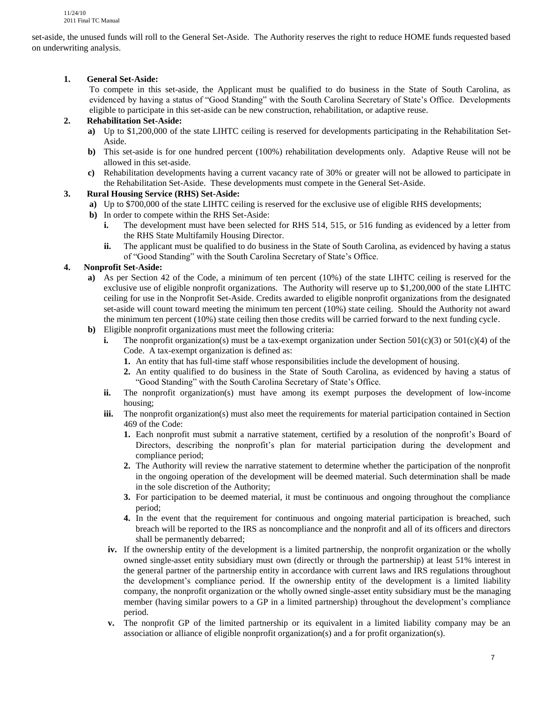set-aside, the unused funds will roll to the General Set-Aside. The Authority reserves the right to reduce HOME funds requested based on underwriting analysis.

# **1. General Set-Aside:**

To compete in this set-aside, the Applicant must be qualified to do business in the State of South Carolina, as evidenced by having a status of "Good Standing" with the South Carolina Secretary of State's Office. Developments eligible to participate in this set-aside can be new construction, rehabilitation, or adaptive reuse.

# **2. Rehabilitation Set-Aside:**

- **a)** Up to \$1,200,000 of the state LIHTC ceiling is reserved for developments participating in the Rehabilitation Set-Aside.
- **b)** This set-aside is for one hundred percent (100%) rehabilitation developments only. Adaptive Reuse will not be allowed in this set-aside.
- **c)** Rehabilitation developments having a current vacancy rate of 30% or greater will not be allowed to participate in the Rehabilitation Set-Aside. These developments must compete in the General Set-Aside.

# **3. Rural Housing Service (RHS) Set-Aside:**

- **a)** Up to \$700,000 of the state LIHTC ceiling is reserved for the exclusive use of eligible RHS developments;
- **b)** In order to compete within the RHS Set-Aside:
	- **i.** The development must have been selected for RHS 514, 515, or 516 funding as evidenced by a letter from the RHS State Multifamily Housing Director.
	- **ii.** The applicant must be qualified to do business in the State of South Carolina, as evidenced by having a status of "Good Standing" with the South Carolina Secretary of State's Office.

# **4. Nonprofit Set-Aside:**

- **a)** As per Section 42 of the Code, a minimum of ten percent (10%) of the state LIHTC ceiling is reserved for the exclusive use of eligible nonprofit organizations. The Authority will reserve up to \$1,200,000 of the state LIHTC ceiling for use in the Nonprofit Set-Aside. Credits awarded to eligible nonprofit organizations from the designated set-aside will count toward meeting the minimum ten percent (10%) state ceiling. Should the Authority not award the minimum ten percent (10%) state ceiling then those credits will be carried forward to the next funding cycle.
- **b)** Eligible nonprofit organizations must meet the following criteria:
	- **i.** The nonprofit organization(s) must be a tax-exempt organization under Section  $501(c)(3)$  or  $501(c)(4)$  of the Code. A tax-exempt organization is defined as:
		- **1.** An entity that has full-time staff whose responsibilities include the development of housing.
		- **2.** An entity qualified to do business in the State of South Carolina, as evidenced by having a status of "Good Standing" with the South Carolina Secretary of State's Office.
	- **ii.** The nonprofit organization(s) must have among its exempt purposes the development of low-income housing;
	- **iii.** The nonprofit organization(s) must also meet the requirements for material participation contained in Section 469 of the Code:
		- **1.** Each nonprofit must submit a narrative statement, certified by a resolution of the nonprofit's Board of Directors, describing the nonprofit's plan for material participation during the development and compliance period;
		- **2.** The Authority will review the narrative statement to determine whether the participation of the nonprofit in the ongoing operation of the development will be deemed material. Such determination shall be made in the sole discretion of the Authority;
		- **3.** For participation to be deemed material, it must be continuous and ongoing throughout the compliance period;
		- **4.** In the event that the requirement for continuous and ongoing material participation is breached, such breach will be reported to the IRS as noncompliance and the nonprofit and all of its officers and directors shall be permanently debarred;
	- **iv.** If the ownership entity of the development is a limited partnership, the nonprofit organization or the wholly owned single-asset entity subsidiary must own (directly or through the partnership) at least 51% interest in the general partner of the partnership entity in accordance with current laws and IRS regulations throughout the development's compliance period. If the ownership entity of the development is a limited liability company, the nonprofit organization or the wholly owned single-asset entity subsidiary must be the managing member (having similar powers to a GP in a limited partnership) throughout the development's compliance period.
	- **v.** The nonprofit GP of the limited partnership or its equivalent in a limited liability company may be an association or alliance of eligible nonprofit organization(s) and a for profit organization(s).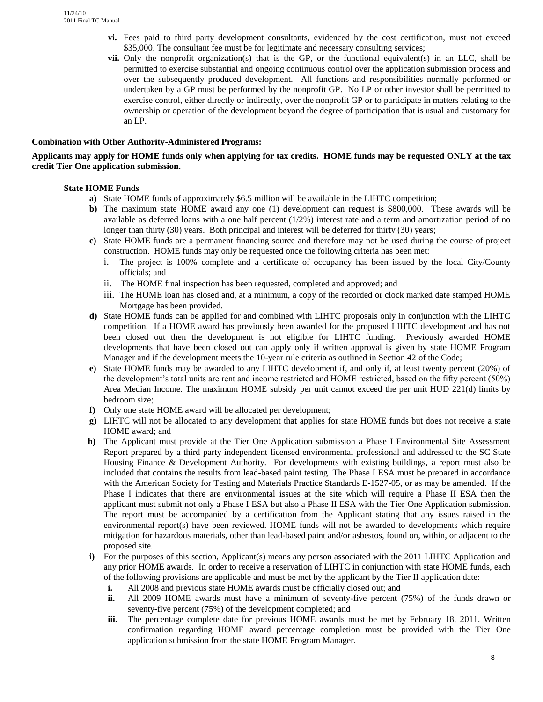- **vi.** Fees paid to third party development consultants, evidenced by the cost certification, must not exceed \$35,000. The consultant fee must be for legitimate and necessary consulting services;
- **vii.** Only the nonprofit organization(s) that is the GP, or the functional equivalent(s) in an LLC, shall be permitted to exercise substantial and ongoing continuous control over the application submission process and over the subsequently produced development. All functions and responsibilities normally performed or undertaken by a GP must be performed by the nonprofit GP. No LP or other investor shall be permitted to exercise control, either directly or indirectly, over the nonprofit GP or to participate in matters relating to the ownership or operation of the development beyond the degree of participation that is usual and customary for an LP.

#### **Combination with Other Authority-Administered Programs:**

#### **Applicants may apply for HOME funds only when applying for tax credits. HOME funds may be requested ONLY at the tax credit Tier One application submission.**

#### **State HOME Funds**

- **a)** State HOME funds of approximately \$6.5 million will be available in the LIHTC competition;
- **b)** The maximum state HOME award any one (1) development can request is \$800,000. These awards will be available as deferred loans with a one half percent (1/2%) interest rate and a term and amortization period of no longer than thirty (30) years. Both principal and interest will be deferred for thirty (30) years;
- **c)** State HOME funds are a permanent financing source and therefore may not be used during the course of project construction. HOME funds may only be requested once the following criteria has been met:
	- i. The project is 100% complete and a certificate of occupancy has been issued by the local City/County officials; and
	- ii. The HOME final inspection has been requested, completed and approved; and
	- iii. The HOME loan has closed and, at a minimum, a copy of the recorded or clock marked date stamped HOME Mortgage has been provided.
- **d)** State HOME funds can be applied for and combined with LIHTC proposals only in conjunction with the LIHTC competition. If a HOME award has previously been awarded for the proposed LIHTC development and has not been closed out then the development is not eligible for LIHTC funding. Previously awarded HOME developments that have been closed out can apply only if written approval is given by state HOME Program Manager and if the development meets the 10-year rule criteria as outlined in Section 42 of the Code;
- **e)** State HOME funds may be awarded to any LIHTC development if, and only if, at least twenty percent (20%) of the development's total units are rent and income restricted and HOME restricted, based on the fifty percent (50%) Area Median Income. The maximum HOME subsidy per unit cannot exceed the per unit HUD 221(d) limits by bedroom size;
- **f)** Only one state HOME award will be allocated per development;
- **g)** LIHTC will not be allocated to any development that applies for state HOME funds but does not receive a state HOME award; and
- **h)** The Applicant must provide at the Tier One Application submission a Phase I Environmental Site Assessment Report prepared by a third party independent licensed environmental professional and addressed to the SC State Housing Finance & Development Authority. For developments with existing buildings, a report must also be included that contains the results from lead-based paint testing. The Phase I ESA must be prepared in accordance with the American Society for Testing and Materials Practice Standards E-1527-05, or as may be amended. If the Phase I indicates that there are environmental issues at the site which will require a Phase II ESA then the applicant must submit not only a Phase I ESA but also a Phase II ESA with the Tier One Application submission. The report must be accompanied by a certification from the Applicant stating that any issues raised in the environmental report(s) have been reviewed. HOME funds will not be awarded to developments which require mitigation for hazardous materials, other than lead-based paint and/or asbestos, found on, within, or adjacent to the proposed site.
- **i)** For the purposes of this section, Applicant(s) means any person associated with the 2011 LIHTC Application and any prior HOME awards. In order to receive a reservation of LIHTC in conjunction with state HOME funds, each of the following provisions are applicable and must be met by the applicant by the Tier II application date:
	- **i.** All 2008 and previous state HOME awards must be officially closed out; and
	- **ii.** All 2009 HOME awards must have a minimum of seventy-five percent (75%) of the funds drawn or seventy-five percent (75%) of the development completed; and
	- **iii.** The percentage complete date for previous HOME awards must be met by February 18, 2011. Written confirmation regarding HOME award percentage completion must be provided with the Tier One application submission from the state HOME Program Manager.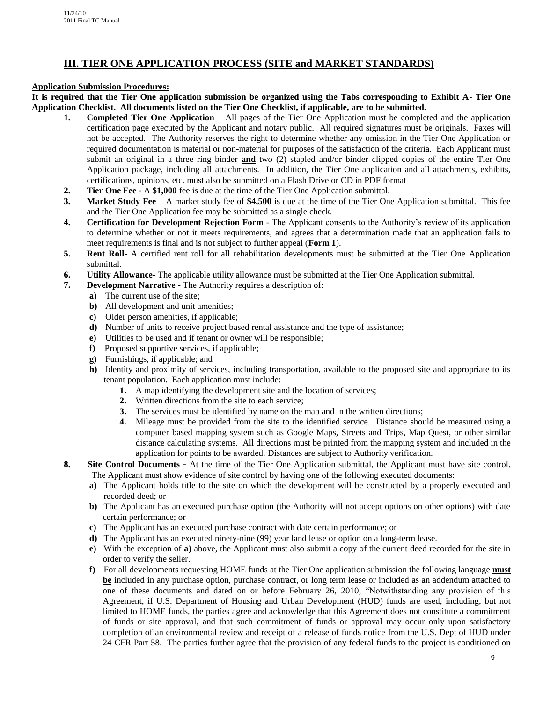# **III. TIER ONE APPLICATION PROCESS (SITE and MARKET STANDARDS)**

### **Application Submission Procedures:**

**It is required that the Tier One application submission be organized using the Tabs corresponding to Exhibit A- Tier One Application Checklist. All documents listed on the Tier One Checklist, if applicable, are to be submitted.** 

- **1. Completed Tier One Application** All pages of the Tier One Application must be completed and the application certification page executed by the Applicant and notary public. All required signatures must be originals. Faxes will not be accepted. The Authority reserves the right to determine whether any omission in the Tier One Application or required documentation is material or non-material for purposes of the satisfaction of the criteria. Each Applicant must submit an original in a three ring binder **and** two (2) stapled and/or binder clipped copies of the entire Tier One Application package, including all attachments. In addition, the Tier One application and all attachments, exhibits, certifications, opinions, etc. must also be submitted on a Flash Drive or CD in PDF format
- **2. Tier One Fee** A **\$1,000** fee is due at the time of the Tier One Application submittal.
- **3. Market Study Fee** A market study fee of **\$4,500** is due at the time of the Tier One Application submittal. This fee and the Tier One Application fee may be submitted as a single check.
- **4. Certification for Development Rejection Form** The Applicant consents to the Authority's review of its application to determine whether or not it meets requirements, and agrees that a determination made that an application fails to meet requirements is final and is not subject to further appeal (**Form 1**).
- **5. Rent Roll-** A certified rent roll for all rehabilitation developments must be submitted at the Tier One Application submittal.
- **6. Utility Allowance-** The applicable utility allowance must be submitted at the Tier One Application submittal.
- **7. Development Narrative** The Authority requires a description of:
	- **a)** The current use of the site;
	- **b)** All development and unit amenities;
	- **c)** Older person amenities, if applicable;
	- **d)** Number of units to receive project based rental assistance and the type of assistance;
	- **e)** Utilities to be used and if tenant or owner will be responsible;
	- **f)** Proposed supportive services, if applicable;
	- **g)** Furnishings, if applicable; and
	- **h)** Identity and proximity of services, including transportation, available to the proposed site and appropriate to its tenant population. Each application must include:
		- **1.** A map identifying the development site and the location of services;
		- **2.** Written directions from the site to each service;
		- **3.** The services must be identified by name on the map and in the written directions;
		- **4.** Mileage must be provided from the site to the identified service. Distance should be measured using a computer based mapping system such as Google Maps, Streets and Trips, Map Quest, or other similar distance calculating systems. All directions must be printed from the mapping system and included in the application for points to be awarded. Distances are subject to Authority verification.
- **8. Site Control Documents** At the time of the Tier One Application submittal, the Applicant must have site control. The Applicant must show evidence of site control by having one of the following executed documents:
	- **a)** The Applicant holds title to the site on which the development will be constructed by a properly executed and recorded deed; or
	- **b)** The Applicant has an executed purchase option (the Authority will not accept options on other options) with date certain performance; or
	- **c)** The Applicant has an executed purchase contract with date certain performance; or
	- **d**) The Applicant has an executed ninety-nine (99) year land lease or option on a long-term lease.
	- **e)** With the exception of **a)** above, the Applicant must also submit a copy of the current deed recorded for the site in order to verify the seller.
	- **f)** For all developments requesting HOME funds at the Tier One application submission the following language **must be** included in any purchase option, purchase contract, or long term lease or included as an addendum attached to one of these documents and dated on or before February 26, 2010, "Notwithstanding any provision of this Agreement, if U.S. Department of Housing and Urban Development (HUD) funds are used, including, but not limited to HOME funds, the parties agree and acknowledge that this Agreement does not constitute a commitment of funds or site approval, and that such commitment of funds or approval may occur only upon satisfactory completion of an environmental review and receipt of a release of funds notice from the U.S. Dept of HUD under 24 CFR Part 58. The parties further agree that the provision of any federal funds to the project is conditioned on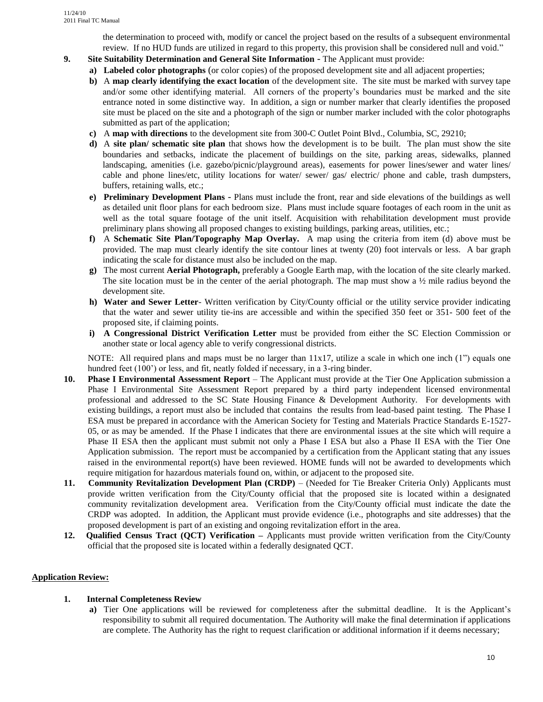the determination to proceed with, modify or cancel the project based on the results of a subsequent environmental review. If no HUD funds are utilized in regard to this property, this provision shall be considered null and void."

- **9. Site Suitability Determination and General Site Information** The Applicant must provide:
	- **a) Labeled color photographs** (or color copies) of the proposed development site and all adjacent properties;
	- **b)** A **map clearly identifying the exact location** of the development site. The site must be marked with survey tape and/or some other identifying material. All corners of the property's boundaries must be marked and the site entrance noted in some distinctive way. In addition, a sign or number marker that clearly identifies the proposed site must be placed on the site and a photograph of the sign or number marker included with the color photographs submitted as part of the application;
	- **c)** A **map with directions** to the development site from 300-C Outlet Point Blvd., Columbia, SC, 29210;
	- **d)** A **site plan/ schematic site plan** that shows how the development is to be built. The plan must show the site boundaries and setbacks, indicate the placement of buildings on the site, parking areas, sidewalks, planned landscaping, amenities (i.e. gazebo/picnic/playground areas), easements for power lines/sewer and water lines/ cable and phone lines/etc, utility locations for water/ sewer/ gas/ electric/ phone and cable, trash dumpsters, buffers, retaining walls, etc.;
	- **e) Preliminary Development Plans** Plans must include the front, rear and side elevations of the buildings as well as detailed unit floor plans for each bedroom size. Plans must include square footages of each room in the unit as well as the total square footage of the unit itself. Acquisition with rehabilitation development must provide preliminary plans showing all proposed changes to existing buildings, parking areas, utilities, etc.;
	- **f)** A **Schematic Site Plan/Topography Map Overlay.** A map using the criteria from item (d) above must be provided. The map must clearly identify the site contour lines at twenty (20) foot intervals or less. A bar graph indicating the scale for distance must also be included on the map.
	- **g)** The most current **Aerial Photograph,** preferably a Google Earth map, with the location of the site clearly marked. The site location must be in the center of the aerial photograph. The map must show a  $\frac{1}{2}$  mile radius beyond the development site.
	- **h) Water and Sewer Letter** Written verification by City/County official or the utility service provider indicating that the water and sewer utility tie-ins are accessible and within the specified 350 feet or 351- 500 feet of the proposed site, if claiming points.
	- **i) A Congressional District Verification Letter** must be provided from either the SC Election Commission or another state or local agency able to verify congressional districts.

NOTE: All required plans and maps must be no larger than  $11x17$ , utilize a scale in which one inch (1") equals one hundred feet (100<sup>o</sup>) or less, and fit, neatly folded if necessary, in a 3-ring binder.

- **10. Phase I Environmental Assessment Report**  The Applicant must provide at the Tier One Application submission a Phase I Environmental Site Assessment Report prepared by a third party independent licensed environmental professional and addressed to the SC State Housing Finance & Development Authority. For developments with existing buildings, a report must also be included that contains the results from lead-based paint testing. The Phase I ESA must be prepared in accordance with the American Society for Testing and Materials Practice Standards E-1527- 05, or as may be amended. If the Phase I indicates that there are environmental issues at the site which will require a Phase II ESA then the applicant must submit not only a Phase I ESA but also a Phase II ESA with the Tier One Application submission. The report must be accompanied by a certification from the Applicant stating that any issues raised in the environmental report(s) have been reviewed. HOME funds will not be awarded to developments which require mitigation for hazardous materials found on, within, or adjacent to the proposed site.
- **11. Community Revitalization Development Plan (CRDP)** (Needed for Tie Breaker Criteria Only) Applicants must provide written verification from the City/County official that the proposed site is located within a designated community revitalization development area. Verification from the City/County official must indicate the date the CRDP was adopted. In addition, the Applicant must provide evidence (i.e., photographs and site addresses) that the proposed development is part of an existing and ongoing revitalization effort in the area.
- **12. Qualified Census Tract (QCT) Verification –** Applicants must provide written verification from the City/County official that the proposed site is located within a federally designated QCT.

# **Application Review:**

- **1. Internal Completeness Review**
	- **a)** Tier One applications will be reviewed for completeness after the submittal deadline. It is the Applicant's responsibility to submit all required documentation. The Authority will make the final determination if applications are complete. The Authority has the right to request clarification or additional information if it deems necessary;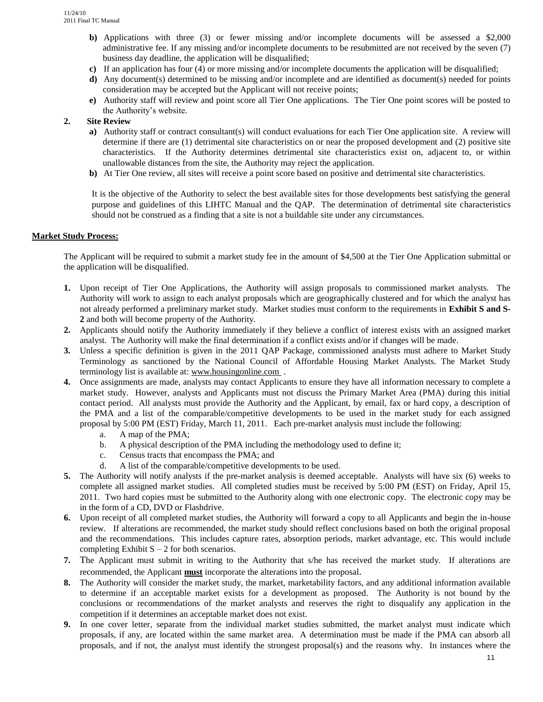- **b)** Applications with three (3) or fewer missing and/or incomplete documents will be assessed a \$2,000 administrative fee. If any missing and/or incomplete documents to be resubmitted are not received by the seven (7) business day deadline, the application will be disqualified;
- **c)** If an application has four (4) or more missing and/or incomplete documents the application will be disqualified;
- **d)** Any document(s) determined to be missing and/or incomplete and are identified as document(s) needed for points consideration may be accepted but the Applicant will not receive points;
- **e)** Authority staff will review and point score all Tier One applications. The Tier One point scores will be posted to the Authority's website.

# **2. Site Review**

- **a)** Authority staff or contract consultant(s) will conduct evaluations for each Tier One application site. A review will determine if there are (1) detrimental site characteristics on or near the proposed development and (2) positive site characteristics. If the Authority determines detrimental site characteristics exist on, adjacent to, or within unallowable distances from the site, the Authority may reject the application.
- **b)** At Tier One review, all sites will receive a point score based on positive and detrimental site characteristics.

It is the objective of the Authority to select the best available sites for those developments best satisfying the general purpose and guidelines of this LIHTC Manual and the QAP. The determination of detrimental site characteristics should not be construed as a finding that a site is not a buildable site under any circumstances.

#### **Market Study Process:**

The Applicant will be required to submit a market study fee in the amount of \$4,500 at the Tier One Application submittal or the application will be disqualified.

- **1.** Upon receipt of Tier One Applications, the Authority will assign proposals to commissioned market analysts. The Authority will work to assign to each analyst proposals which are geographically clustered and for which the analyst has not already performed a preliminary market study. Market studies must conform to the requirements in **Exhibit S and S-2** and both will become property of the Authority.
- **2.** Applicants should notify the Authority immediately if they believe a conflict of interest exists with an assigned market analyst. The Authority will make the final determination if a conflict exists and/or if changes will be made.
- **3.** Unless a specific definition is given in the 2011 QAP Package, commissioned analysts must adhere to Market Study Terminology as sanctioned by the National Council of Affordable Housing Market Analysts. The Market Study terminology list is available at[: www.housingonline.com .](http://www.housingonline.com/)
- **4.** Once assignments are made, analysts may contact Applicants to ensure they have all information necessary to complete a market study. However, analysts and Applicants must not discuss the Primary Market Area (PMA) during this initial contact period. All analysts must provide the Authority and the Applicant, by email, fax or hard copy, a description of the PMA and a list of the comparable/competitive developments to be used in the market study for each assigned proposal by 5:00 PM (EST) Friday, March 11, 2011. Each pre-market analysis must include the following:
	- a. A map of the PMA;
	- b. A physical description of the PMA including the methodology used to define it;
	- c. Census tracts that encompass the PMA; and
	- d. A list of the comparable/competitive developments to be used.
- **5.** The Authority will notify analysts if the pre-market analysis is deemed acceptable. Analysts will have six (6) weeks to complete all assigned market studies. All completed studies must be received by 5:00 PM (EST) on Friday, April 15, 2011. Two hard copies must be submitted to the Authority along with one electronic copy. The electronic copy may be in the form of a CD, DVD or Flashdrive.
- **6.** Upon receipt of all completed market studies, the Authority will forward a copy to all Applicants and begin the in-house review. If alterations are recommended, the market study should reflect conclusions based on both the original proposal and the recommendations. This includes capture rates, absorption periods, market advantage, etc. This would include completing Exhibit  $S - 2$  for both scenarios.
- **7.** The Applicant must submit in writing to the Authority that s/he has received the market study. If alterations are recommended, the Applicant **must** incorporate the alterations into the proposal.
- **8.** The Authority will consider the market study, the market, marketability factors, and any additional information available to determine if an acceptable market exists for a development as proposed. The Authority is not bound by the conclusions or recommendations of the market analysts and reserves the right to disqualify any application in the competition if it determines an acceptable market does not exist.
- **9.** In one cover letter, separate from the individual market studies submitted, the market analyst must indicate which proposals, if any, are located within the same market area. A determination must be made if the PMA can absorb all proposals, and if not, the analyst must identify the strongest proposal(s) and the reasons why. In instances where the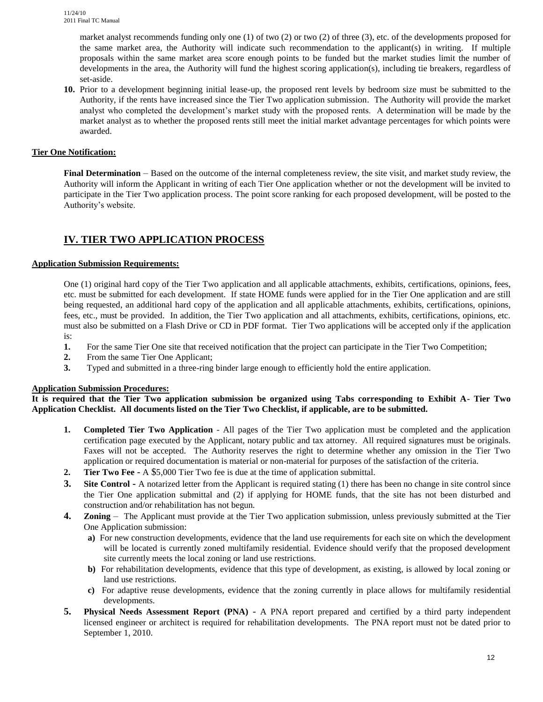market analyst recommends funding only one (1) of two (2) or two (2) of three (3), etc. of the developments proposed for the same market area, the Authority will indicate such recommendation to the applicant(s) in writing. If multiple proposals within the same market area score enough points to be funded but the market studies limit the number of developments in the area, the Authority will fund the highest scoring application(s), including tie breakers, regardless of set-aside.

**10.** Prior to a development beginning initial lease-up, the proposed rent levels by bedroom size must be submitted to the Authority, if the rents have increased since the Tier Two application submission. The Authority will provide the market analyst who completed the development's market study with the proposed rents. A determination will be made by the market analyst as to whether the proposed rents still meet the initial market advantage percentages for which points were awarded.

# **Tier One Notification:**

**Final Determination** – Based on the outcome of the internal completeness review, the site visit, and market study review, the Authority will inform the Applicant in writing of each Tier One application whether or not the development will be invited to participate in the Tier Two application process. The point score ranking for each proposed development, will be posted to the Authority's website.

# **IV. TIER TWO APPLICATION PROCESS**

#### **Application Submission Requirements:**

One (1) original hard copy of the Tier Two application and all applicable attachments, exhibits, certifications, opinions, fees, etc. must be submitted for each development. If state HOME funds were applied for in the Tier One application and are still being requested, an additional hard copy of the application and all applicable attachments, exhibits, certifications, opinions, fees, etc., must be provided. In addition, the Tier Two application and all attachments, exhibits, certifications, opinions, etc. must also be submitted on a Flash Drive or CD in PDF format. Tier Two applications will be accepted only if the application is:

- **1.** For the same Tier One site that received notification that the project can participate in the Tier Two Competition;
- **2.** From the same Tier One Applicant;
- **3.** Typed and submitted in a three-ring binder large enough to efficiently hold the entire application.

# **Application Submission Procedures:**

**It is required that the Tier Two application submission be organized using Tabs corresponding to Exhibit A- Tier Two Application Checklist. All documents listed on the Tier Two Checklist, if applicable, are to be submitted.**

- **1. Completed Tier Two Application** All pages of the Tier Two application must be completed and the application certification page executed by the Applicant, notary public and tax attorney. All required signatures must be originals. Faxes will not be accepted. The Authority reserves the right to determine whether any omission in the Tier Two application or required documentation is material or non-material for purposes of the satisfaction of the criteria.
- **2. Tier Two Fee** A \$5,000 Tier Two fee is due at the time of application submittal.
- **3.** Site Control **-** A notarized letter from the Applicant is required stating (1) there has been no change in site control since the Tier One application submittal and (2) if applying for HOME funds, that the site has not been disturbed and construction and/or rehabilitation has not begun.
- **4. Zoning** The Applicant must provide at the Tier Two application submission, unless previously submitted at the Tier One Application submission:
	- **a)** For new construction developments, evidence that the land use requirements for each site on which the development will be located is currently zoned multifamily residential. Evidence should verify that the proposed development site currently meets the local zoning or land use restrictions.
	- **b)** For rehabilitation developments, evidence that this type of development, as existing, is allowed by local zoning or land use restrictions.
	- **c)** For adaptive reuse developments, evidence that the zoning currently in place allows for multifamily residential developments.
- **5. Physical Needs Assessment Report (PNA)** A PNA report prepared and certified by a third party independent licensed engineer or architect is required for rehabilitation developments. The PNA report must not be dated prior to September 1, 2010.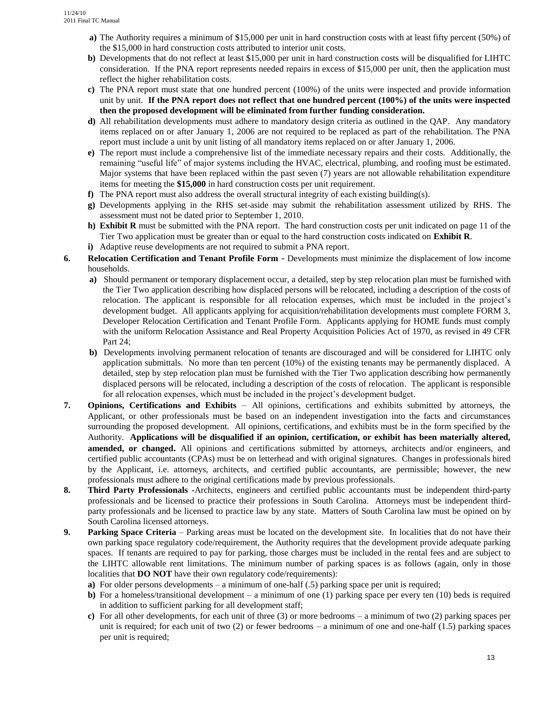- **a)** The Authority requires a minimum of \$15,000 per unit in hard construction costs with at least fifty percent (50%) of the \$15,000 in hard construction costs attributed to interior unit costs.
- **b**) Developments that do not reflect at least \$15,000 per unit in hard construction costs will be disqualified for LIHTC consideration. If the PNA report represents needed repairs in excess of \$15,000 per unit, then the application must reflect the higher rehabilitation costs.
- **c)** The PNA report must state that one hundred percent (100%) of the units were inspected and provide information unit by unit. **If the PNA report does not reflect that one hundred percent (100%) of the units were inspected then the proposed development will be eliminated from further funding consideration.**
- **d)** All rehabilitation developments must adhere to mandatory design criteria as outlined in the QAP. Any mandatory items replaced on or after January 1, 2006 are not required to be replaced as part of the rehabilitation. The PNA report must include a unit by unit listing of all mandatory items replaced on or after January 1, 2006.
- **e)** The report must include a comprehensive list of the immediate necessary repairs and their costs. Additionally, the remaining "useful life" of major systems including the HVAC, electrical, plumbing, and roofing must be estimated. Major systems that have been replaced within the past seven (7) years are not allowable rehabilitation expenditure items for meeting the **\$15,000** in hard construction costs per unit requirement.
- **f)** The PNA report must also address the overall structural integrity of each existing building(s).
- **g)** Developments applying in the RHS set-aside may submit the rehabilitation assessment utilized by RHS. The assessment must not be dated prior to September 1, 2010.
- **h) Exhibit R** must be submitted with the PNA report. The hard construction costs per unit indicated on page 11 of the Tier Two application must be greater than or equal to the hard construction costs indicated on **Exhibit R**.
- **i)** Adaptive reuse developments are not required to submit a PNA report.
- **6. Relocation Certification and Tenant Profile Form** Developments must minimize the displacement of low income households.
	- **a)** Should permanent or temporary displacement occur, a detailed, step by step relocation plan must be furnished with the Tier Two application describing how displaced persons will be relocated, including a description of the costs of relocation. The applicant is responsible for all relocation expenses, which must be included in the project's development budget. All applicants applying for acquisition/rehabilitation developments must complete FORM 3, Developer Relocation Certification and Tenant Profile Form. Applicants applying for HOME funds must comply with the uniform Relocation Assistance and Real Property Acquisition Policies Act of 1970, as revised in 49 CFR Part 24;
	- **b)** Developments involving permanent relocation of tenants are discouraged and will be considered for LIHTC only application submittals. No more than ten percent (10%) of the existing tenants may be permanently displaced. A detailed, step by step relocation plan must be furnished with the Tier Two application describing how permanently displaced persons will be relocated, including a description of the costs of relocation. The applicant is responsible for all relocation expenses, which must be included in the project's development budget.
- **7. Opinions, Certifications and Exhibits** All opinions, certifications and exhibits submitted by attorneys, the Applicant, or other professionals must be based on an independent investigation into the facts and circumstances surrounding the proposed development. All opinions, certifications, and exhibits must be in the form specified by the Authority. **Applications will be disqualified if an opinion, certification, or exhibit has been materially altered, amended, or changed.** All opinions and certifications submitted by attorneys, architects and/or engineers, and certified public accountants (CPAs) must be on letterhead and with original signatures. Changes in professionals hired by the Applicant, i.e. attorneys, architects, and certified public accountants, are permissible; however, the new professionals must adhere to the original certifications made by previous professionals.
- **8. Third Party Professionals -**Architects, engineers and certified public accountants must be independent third-party professionals and be licensed to practice their professions in South Carolina. Attorneys must be independent thirdparty professionals and be licensed to practice law by any state. Matters of South Carolina law must be opined on by South Carolina licensed attorneys.
- **9. Parking Space Criteria**  Parking areas must be located on the development site. In localities that do not have their own parking space regulatory code/requirement, the Authority requires that the development provide adequate parking spaces. If tenants are required to pay for parking, those charges must be included in the rental fees and are subject to the LIHTC allowable rent limitations. The minimum number of parking spaces is as follows (again, only in those localities that **DO NOT** have their own regulatory code/requirements):
	- **a**) For older persons developments a minimum of one-half (.5) parking space per unit is required;
	- **b)** For a homeless/transitional development a minimum of one (1) parking space per every ten (10) beds is required in addition to sufficient parking for all development staff;
	- **c)** For all other developments, for each unit of three (3) or more bedrooms a minimum of two (2) parking spaces per unit is required; for each unit of two  $(2)$  or fewer bedrooms – a minimum of one and one-half  $(1.5)$  parking spaces per unit is required;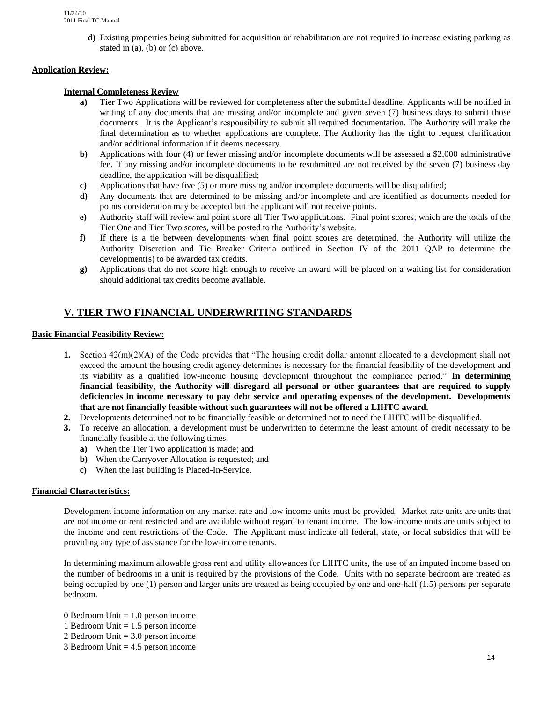**d)** Existing properties being submitted for acquisition or rehabilitation are not required to increase existing parking as stated in (a), (b) or (c) above.

# **Application Review:**

### **Internal Completeness Review**

- **a)** Tier Two Applications will be reviewed for completeness after the submittal deadline. Applicants will be notified in writing of any documents that are missing and/or incomplete and given seven (7) business days to submit those documents. It is the Applicant's responsibility to submit all required documentation. The Authority will make the final determination as to whether applications are complete. The Authority has the right to request clarification and/or additional information if it deems necessary.
- **b)** Applications with four (4) or fewer missing and/or incomplete documents will be assessed a \$2,000 administrative fee. If any missing and/or incomplete documents to be resubmitted are not received by the seven (7) business day deadline, the application will be disqualified;
- **c)** Applications that have five (5) or more missing and/or incomplete documents will be disqualified;
- **d)** Any documents that are determined to be missing and/or incomplete and are identified as documents needed for points consideration may be accepted but the applicant will not receive points.
- **e)** Authority staff will review and point score all Tier Two applications. Final point scores, which are the totals of the Tier One and Tier Two scores, will be posted to the Authority's website.
- **f)** If there is a tie between developments when final point scores are determined, the Authority will utilize the Authority Discretion and Tie Breaker Criteria outlined in Section IV of the 2011 QAP to determine the development(s) to be awarded tax credits.
- **g)** Applications that do not score high enough to receive an award will be placed on a waiting list for consideration should additional tax credits become available.

# **V. TIER TWO FINANCIAL UNDERWRITING STANDARDS**

# **Basic Financial Feasibility Review:**

- **1.** Section 42(m)(2)(A) of the Code provides that "The housing credit dollar amount allocated to a development shall not exceed the amount the housing credit agency determines is necessary for the financial feasibility of the development and its viability as a qualified low-income housing development throughout the compliance period." **In determining financial feasibility, the Authority will disregard all personal or other guarantees that are required to supply deficiencies in income necessary to pay debt service and operating expenses of the development. Developments that are not financially feasible without such guarantees will not be offered a LIHTC award.**
- **2.** Developments determined not to be financially feasible or determined not to need the LIHTC will be disqualified.
- **3.** To receive an allocation, a development must be underwritten to determine the least amount of credit necessary to be financially feasible at the following times:
	- **a)** When the Tier Two application is made; and
	- **b)** When the Carryover Allocation is requested; and
	- **c)** When the last building is Placed-In-Service.

#### **Financial Characteristics:**

Development income information on any market rate and low income units must be provided. Market rate units are units that are not income or rent restricted and are available without regard to tenant income. The low-income units are units subject to the income and rent restrictions of the Code. The Applicant must indicate all federal, state, or local subsidies that will be providing any type of assistance for the low-income tenants.

In determining maximum allowable gross rent and utility allowances for LIHTC units, the use of an imputed income based on the number of bedrooms in a unit is required by the provisions of the Code. Units with no separate bedroom are treated as being occupied by one (1) person and larger units are treated as being occupied by one and one-half (1.5) persons per separate bedroom.

0 Bedroom Unit  $= 1.0$  person income

- 1 Bedroom Unit = 1.5 person income
- 2 Bedroom Unit = 3.0 person income
- 3 Bedroom Unit = 4.5 person income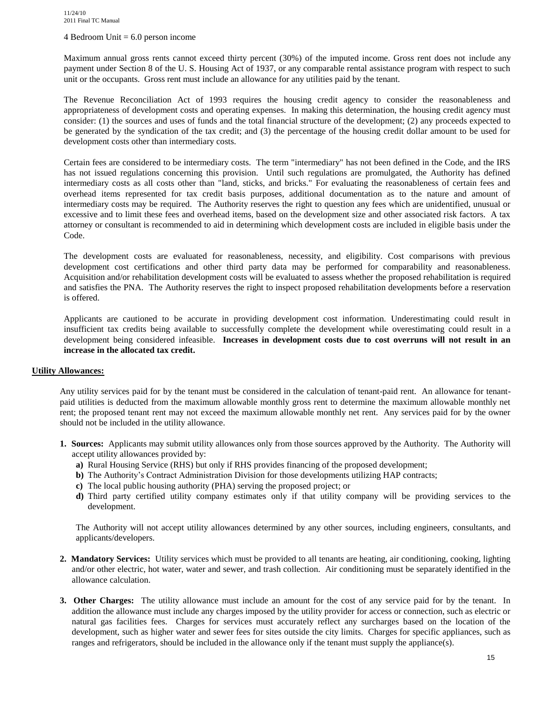#### 4 Bedroom Unit  $= 6.0$  person income

Maximum annual gross rents cannot exceed thirty percent (30%) of the imputed income. Gross rent does not include any payment under Section 8 of the U. S. Housing Act of 1937, or any comparable rental assistance program with respect to such unit or the occupants. Gross rent must include an allowance for any utilities paid by the tenant.

The Revenue Reconciliation Act of 1993 requires the housing credit agency to consider the reasonableness and appropriateness of development costs and operating expenses. In making this determination, the housing credit agency must consider: (1) the sources and uses of funds and the total financial structure of the development; (2) any proceeds expected to be generated by the syndication of the tax credit; and (3) the percentage of the housing credit dollar amount to be used for development costs other than intermediary costs.

Certain fees are considered to be intermediary costs. The term "intermediary" has not been defined in the Code, and the IRS has not issued regulations concerning this provision. Until such regulations are promulgated, the Authority has defined intermediary costs as all costs other than "land, sticks, and bricks." For evaluating the reasonableness of certain fees and overhead items represented for tax credit basis purposes, additional documentation as to the nature and amount of intermediary costs may be required. The Authority reserves the right to question any fees which are unidentified, unusual or excessive and to limit these fees and overhead items, based on the development size and other associated risk factors. A tax attorney or consultant is recommended to aid in determining which development costs are included in eligible basis under the Code.

The development costs are evaluated for reasonableness, necessity, and eligibility. Cost comparisons with previous development cost certifications and other third party data may be performed for comparability and reasonableness. Acquisition and/or rehabilitation development costs will be evaluated to assess whether the proposed rehabilitation is required and satisfies the PNA. The Authority reserves the right to inspect proposed rehabilitation developments before a reservation is offered.

Applicants are cautioned to be accurate in providing development cost information. Underestimating could result in insufficient tax credits being available to successfully complete the development while overestimating could result in a development being considered infeasible. **Increases in development costs due to cost overruns will not result in an increase in the allocated tax credit.**

#### **Utility Allowances:**

Any utility services paid for by the tenant must be considered in the calculation of tenant-paid rent. An allowance for tenantpaid utilities is deducted from the maximum allowable monthly gross rent to determine the maximum allowable monthly net rent; the proposed tenant rent may not exceed the maximum allowable monthly net rent. Any services paid for by the owner should not be included in the utility allowance.

- **1. Sources:** Applicants may submit utility allowances only from those sources approved by the Authority. The Authority will accept utility allowances provided by:
	- **a)** Rural Housing Service (RHS) but only if RHS provides financing of the proposed development;
	- **b**) The Authority's Contract Administration Division for those developments utilizing HAP contracts;
	- **c)** The local public housing authority (PHA) serving the proposed project; or
	- **d)** Third party certified utility company estimates only if that utility company will be providing services to the development.

The Authority will not accept utility allowances determined by any other sources, including engineers, consultants, and applicants/developers.

- **2. Mandatory Services:** Utility services which must be provided to all tenants are heating, air conditioning, cooking, lighting and/or other electric, hot water, water and sewer, and trash collection. Air conditioning must be separately identified in the allowance calculation.
- **3. Other Charges:** The utility allowance must include an amount for the cost of any service paid for by the tenant. In addition the allowance must include any charges imposed by the utility provider for access or connection, such as electric or natural gas facilities fees. Charges for services must accurately reflect any surcharges based on the location of the development, such as higher water and sewer fees for sites outside the city limits. Charges for specific appliances, such as ranges and refrigerators, should be included in the allowance only if the tenant must supply the appliance(s).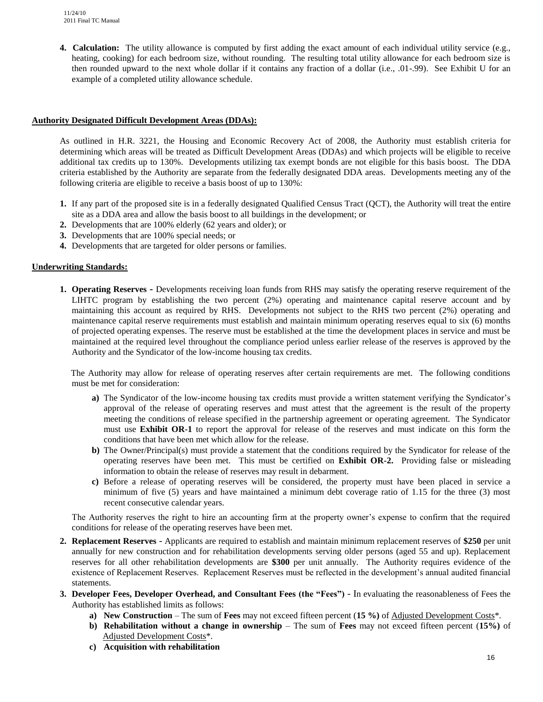**4. Calculation:** The utility allowance is computed by first adding the exact amount of each individual utility service (e.g., heating, cooking) for each bedroom size, without rounding. The resulting total utility allowance for each bedroom size is then rounded upward to the next whole dollar if it contains any fraction of a dollar (i.e., .01-.99). See Exhibit U for an example of a completed utility allowance schedule.

### **Authority Designated Difficult Development Areas (DDAs):**

As outlined in H.R. 3221, the Housing and Economic Recovery Act of 2008, the Authority must establish criteria for determining which areas will be treated as Difficult Development Areas (DDAs) and which projects will be eligible to receive additional tax credits up to 130%. Developments utilizing tax exempt bonds are not eligible for this basis boost. The DDA criteria established by the Authority are separate from the federally designated DDA areas. Developments meeting any of the following criteria are eligible to receive a basis boost of up to 130%:

- **1.** If any part of the proposed site is in a federally designated Qualified Census Tract (QCT), the Authority will treat the entire site as a DDA area and allow the basis boost to all buildings in the development; or
- **2.** Developments that are 100% elderly (62 years and older); or
- **3.** Developments that are 100% special needs; or
- **4.** Developments that are targeted for older persons or families.

# **Underwriting Standards:**

**1. Operating Reserves -** Developments receiving loan funds from RHS may satisfy the operating reserve requirement of the LIHTC program by establishing the two percent (2%) operating and maintenance capital reserve account and by maintaining this account as required by RHS. Developments not subject to the RHS two percent (2%) operating and maintenance capital reserve requirements must establish and maintain minimum operating reserves equal to six (6) months of projected operating expenses. The reserve must be established at the time the development places in service and must be maintained at the required level throughout the compliance period unless earlier release of the reserves is approved by the Authority and the Syndicator of the low-income housing tax credits.

 The Authority may allow for release of operating reserves after certain requirements are met. The following conditions must be met for consideration:

- **a)** The Syndicator of the low-income housing tax credits must provide a written statement verifying the Syndicator's approval of the release of operating reserves and must attest that the agreement is the result of the property meeting the conditions of release specified in the partnership agreement or operating agreement. The Syndicator must use **Exhibit OR-1** to report the approval for release of the reserves and must indicate on this form the conditions that have been met which allow for the release.
- **b**) The Owner/Principal(s) must provide a statement that the conditions required by the Syndicator for release of the operating reserves have been met. This must be certified on **Exhibit OR-2.** Providing false or misleading information to obtain the release of reserves may result in debarment.
- **c)** Before a release of operating reserves will be considered, the property must have been placed in service a minimum of five (5) years and have maintained a minimum debt coverage ratio of 1.15 for the three (3) most recent consecutive calendar years.

The Authority reserves the right to hire an accounting firm at the property owner's expense to confirm that the required conditions for release of the operating reserves have been met.

- **2. Replacement Reserves** Applicants are required to establish and maintain minimum replacement reserves of **\$250** per unit annually for new construction and for rehabilitation developments serving older persons (aged 55 and up). Replacement reserves for all other rehabilitation developments are **\$300** per unit annually. The Authority requires evidence of the existence of Replacement Reserves. Replacement Reserves must be reflected in the development's annual audited financial statements.
- **3. Developer Fees, Developer Overhead, and Consultant Fees (the "Fees")**  In evaluating the reasonableness of Fees the Authority has established limits as follows:
	- **a) New Construction** The sum of **Fees** may not exceed fifteen percent (**15 %)** of Adjusted Development Costs\*.
	- **b) Rehabilitation without a change in ownership** The sum of **Fees** may not exceed fifteen percent (**15%)** of Adjusted Development Costs\*.
	- **c) Acquisition with rehabilitation**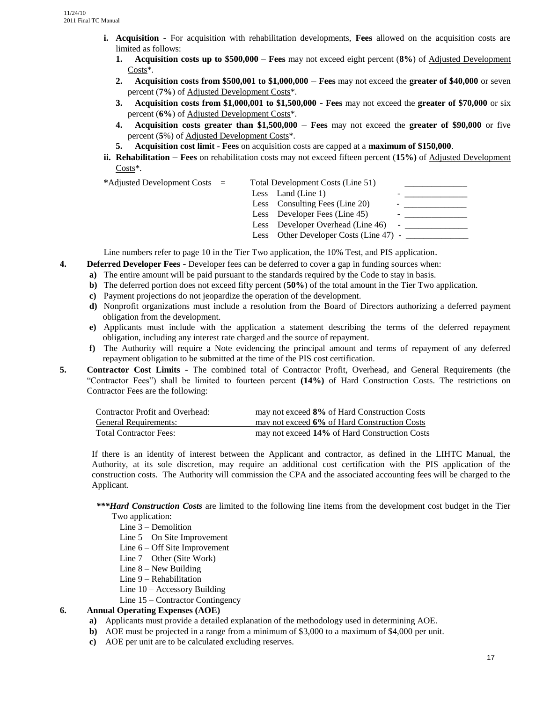- **i. Acquisition** For acquisition with rehabilitation developments, **Fees** allowed on the acquisition costs are limited as follows:
	- **1. Acquisition costs up to \$500,000 Fees** may not exceed eight percent (**8%**) of Adjusted Development Costs\*.
	- **2. Acquisition costs from \$500,001 to \$1,000,000 Fees** may not exceed the **greater of \$40,000** or seven percent (**7%**) of Adjusted Development Costs\*.
	- **3. Acquisition costs from \$1,000,001 to \$1,500,000 Fees** may not exceed the **greater of \$70,000** or six percent (**6%**) of Adjusted Development Costs\*.
	- **4. Acquisition costs greater than \$1,500,000 Fees** may not exceed the **greater of \$90,000** or five percent (**5**%) of Adjusted Development Costs\*.
	- **5. Acquisition cost limit Fees** on acquisition costs are capped at a **maximum of \$150,000**.
- **ii. Rehabilitation Fees** on rehabilitation costs may not exceed fifteen percent (**15%)** of Adjusted Development Costs\*.

| * <u>Adjusted Development Costs</u> = |  | Total Development Costs (Line 51)      |   |  |
|---------------------------------------|--|----------------------------------------|---|--|
|                                       |  | Less Land (Line 1)                     |   |  |
|                                       |  | Less Consulting Fees (Line 20)         | - |  |
|                                       |  | Less Developer Fees (Line 45)          |   |  |
|                                       |  | Less Developer Overhead (Line 46)      |   |  |
|                                       |  | Less Other Developer Costs (Line 47) - |   |  |
|                                       |  |                                        |   |  |

Line numbers refer to page 10 in the Tier Two application, the 10% Test, and PIS application.

- **4. Deferred Developer Fees** Developer fees can be deferred to cover a gap in funding sources when:
	- **a)** The entire amount will be paid pursuant to the standards required by the Code to stay in basis.
	- **b)** The deferred portion does not exceed fifty percent (**50%**) of the total amount in the Tier Two application.
	- **c)** Payment projections do not jeopardize the operation of the development.
	- **d)** Nonprofit organizations must include a resolution from the Board of Directors authorizing a deferred payment obligation from the development.
	- **e)** Applicants must include with the application a statement describing the terms of the deferred repayment obligation, including any interest rate charged and the source of repayment.
	- **f)** The Authority will require a Note evidencing the principal amount and terms of repayment of any deferred repayment obligation to be submitted at the time of the PIS cost certification.
- **5. Contractor Cost Limits** The combined total of Contractor Profit, Overhead, and General Requirements (the "Contractor Fees") shall be limited to fourteen percent **(14%)** of Hard Construction Costs. The restrictions on Contractor Fees are the following:

| Contractor Profit and Overhead: | may not exceed 8% of Hard Construction Costs  |
|---------------------------------|-----------------------------------------------|
| <b>General Requirements:</b>    | may not exceed 6% of Hard Construction Costs  |
| <b>Total Contractor Fees:</b>   | may not exceed 14% of Hard Construction Costs |

If there is an identity of interest between the Applicant and contractor, as defined in the LIHTC Manual, the Authority, at its sole discretion, may require an additional cost certification with the PIS application of the construction costs. The Authority will commission the CPA and the associated accounting fees will be charged to the Applicant.

- *\*\*\*Hard Construction Costs* are limited to the following line items from the development cost budget in the Tier Two application:
	- Line 3 Demolition
	- Line 5 On Site Improvement
	- Line 6 Off Site Improvement
	- Line 7 Other (Site Work)
	- Line 8 New Building
	- Line 9 Rehabilitation
	- Line 10 Accessory Building
	- Line 15 Contractor Contingency

#### **6. Annual Operating Expenses (AOE)**

- **a)** Applicants must provide a detailed explanation of the methodology used in determining AOE.
- **b**) AOE must be projected in a range from a minimum of \$3,000 to a maximum of \$4,000 per unit.
- **c)** AOE per unit are to be calculated excluding reserves.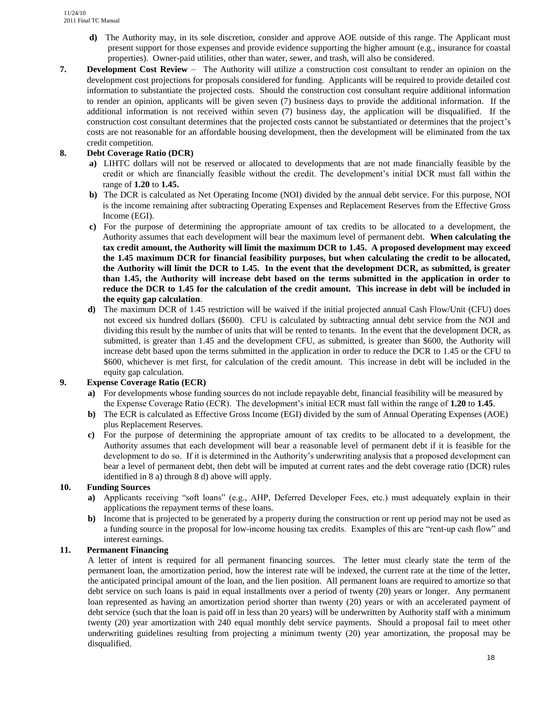- **d)** The Authority may, in its sole discretion, consider and approve AOE outside of this range. The Applicant must present support for those expenses and provide evidence supporting the higher amount (e.g., insurance for coastal properties). Owner-paid utilities, other than water, sewer, and trash, will also be considered.
- **7. Development Cost Review** The Authority will utilize a construction cost consultant to render an opinion on the development cost projections for proposals considered for funding. Applicants will be required to provide detailed cost information to substantiate the projected costs. Should the construction cost consultant require additional information to render an opinion, applicants will be given seven (7) business days to provide the additional information. If the additional information is not received within seven (7) business day, the application will be disqualified. If the construction cost consultant determines that the projected costs cannot be substantiated or determines that the project's costs are not reasonable for an affordable housing development, then the development will be eliminated from the tax credit competition.

# **8. Debt Coverage Ratio (DCR)**

- **a)** LIHTC dollars will not be reserved or allocated to developments that are not made financially feasible by the credit or which are financially feasible without the credit. The development's initial DCR must fall within the range of **1.20** to **1.45.**
- **b)** The DCR is calculated as Net Operating Income (NOI) divided by the annual debt service. For this purpose, NOI is the income remaining after subtracting Operating Expenses and Replacement Reserves from the Effective Gross Income (EGI).
- **c)** For the purpose of determining the appropriate amount of tax credits to be allocated to a development, the Authority assumes that each development will bear the maximum level of permanent debt. **When calculating the tax credit amount, the Authority will limit the maximum DCR to 1.45. A proposed development may exceed the 1.45 maximum DCR for financial feasibility purposes, but when calculating the credit to be allocated, the Authority will limit the DCR to 1.45. In the event that the development DCR, as submitted, is greater than 1.45, the Authority will increase debt based on the terms submitted in the application in order to reduce the DCR to 1.45 for the calculation of the credit amount. This increase in debt will be included in the equity gap calculation**.
- **d)** The maximum DCR of 1.45 restriction will be waived if the initial projected annual Cash Flow/Unit (CFU) does not exceed six hundred dollars (\$600). CFU is calculated by subtracting annual debt service from the NOI and dividing this result by the number of units that will be rented to tenants. In the event that the development DCR, as submitted, is greater than 1.45 and the development CFU, as submitted, is greater than \$600, the Authority will increase debt based upon the terms submitted in the application in order to reduce the DCR to 1.45 or the CFU to \$600, whichever is met first, for calculation of the credit amount. This increase in debt will be included in the equity gap calculation.

### **9. Expense Coverage Ratio (ECR)**

- **a)** For developments whose funding sources do not include repayable debt, financial feasibility will be measured by the Expense Coverage Ratio (ECR). The development's initial ECR must fall within the range of **1.20** to **1.45**.
- **b)** The ECR is calculated as Effective Gross Income (EGI) divided by the sum of Annual Operating Expenses (AOE) plus Replacement Reserves.
- **c)** For the purpose of determining the appropriate amount of tax credits to be allocated to a development, the Authority assumes that each development will bear a reasonable level of permanent debt if it is feasible for the development to do so. If it is determined in the Authority's underwriting analysis that a proposed development can bear a level of permanent debt, then debt will be imputed at current rates and the debt coverage ratio (DCR) rules identified in 8 a) through 8 d) above will apply.

#### **10. Funding Sources**

- **a)** Applicants receiving "soft loans" (e.g., AHP, Deferred Developer Fees, etc.) must adequately explain in their applications the repayment terms of these loans.
- **b)** Income that is projected to be generated by a property during the construction or rent up period may not be used as a funding source in the proposal for low-income housing tax credits. Examples of this are "rent-up cash flow" and interest earnings.

# **11. Permanent Financing**

A letter of intent is required for all permanent financing sources. The letter must clearly state the term of the permanent loan, the amortization period, how the interest rate will be indexed, the current rate at the time of the letter, the anticipated principal amount of the loan, and the lien position. All permanent loans are required to amortize so that debt service on such loans is paid in equal installments over a period of twenty (20) years or longer. Any permanent loan represented as having an amortization period shorter than twenty (20) years or with an accelerated payment of debt service (such that the loan is paid off in less than 20 years) will be underwritten by Authority staff with a minimum twenty (20) year amortization with 240 equal monthly debt service payments. Should a proposal fail to meet other underwriting guidelines resulting from projecting a minimum twenty (20) year amortization, the proposal may be disqualified.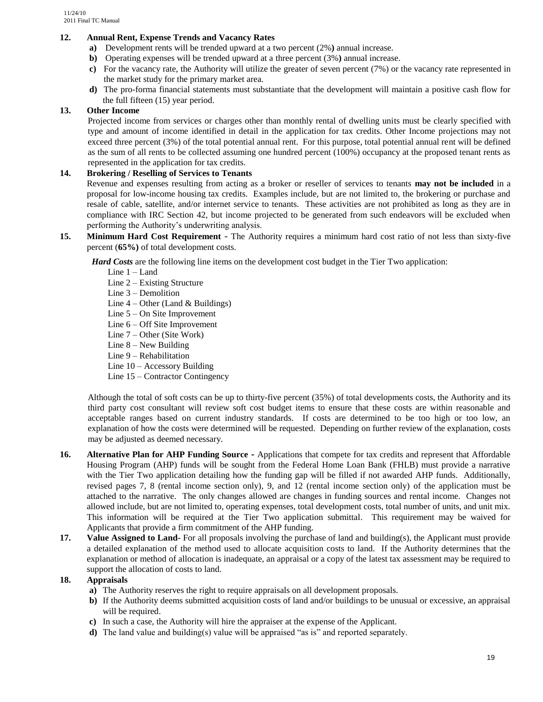# **12. Annual Rent, Expense Trends and Vacancy Rates**

- **a)** Development rents will be trended upward at a two percent (2%**)** annual increase.
- **b)** Operating expenses will be trended upward at a three percent (3%**)** annual increase.
- **c)** For the vacancy rate, the Authority will utilize the greater of seven percent (7%) or the vacancy rate represented in the market study for the primary market area.
- **d)** The pro-forma financial statements must substantiate that the development will maintain a positive cash flow for the full fifteen (15) year period.

# **13. Other Income**

Projected income from services or charges other than monthly rental of dwelling units must be clearly specified with type and amount of income identified in detail in the application for tax credits. Other Income projections may not exceed three percent (3%) of the total potential annual rent. For this purpose, total potential annual rent will be defined as the sum of all rents to be collected assuming one hundred percent (100%) occupancy at the proposed tenant rents as represented in the application for tax credits.

# **14. Brokering / Reselling of Services to Tenants**

Revenue and expenses resulting from acting as a broker or reseller of services to tenants **may not be included** in a proposal for low-income housing tax credits. Examples include, but are not limited to, the brokering or purchase and resale of cable, satellite, and/or internet service to tenants. These activities are not prohibited as long as they are in compliance with IRC Section 42, but income projected to be generated from such endeavors will be excluded when performing the Authority's underwriting analysis.

**15. Minimum Hard Cost Requirement** - The Authority requires a minimum hard cost ratio of not less than sixty-five percent (**65%)** of total development costs.

*Hard Costs* are the following line items on the development cost budget in the Tier Two application:

- Line 1 Land
- Line 2 Existing Structure
- Line 3 Demolition
- Line  $4$  Other (Land & Buildings)
- Line 5 On Site Improvement
- Line 6 Off Site Improvement
- Line 7 Other (Site Work)
- Line 8 New Building
- Line 9 Rehabilitation
- Line 10 Accessory Building
- Line 15 Contractor Contingency

Although the total of soft costs can be up to thirty-five percent (35%) of total developments costs, the Authority and its third party cost consultant will review soft cost budget items to ensure that these costs are within reasonable and acceptable ranges based on current industry standards. If costs are determined to be too high or too low, an explanation of how the costs were determined will be requested. Depending on further review of the explanation, costs may be adjusted as deemed necessary.

- **16. Alternative Plan for AHP Funding Source -** Applications that compete for tax credits and represent that Affordable Housing Program (AHP) funds will be sought from the Federal Home Loan Bank (FHLB) must provide a narrative with the Tier Two application detailing how the funding gap will be filled if not awarded AHP funds. Additionally, revised pages 7, 8 (rental income section only), 9, and 12 (rental income section only) of the application must be attached to the narrative. The only changes allowed are changes in funding sources and rental income. Changes not allowed include, but are not limited to, operating expenses, total development costs, total number of units, and unit mix. This information will be required at the Tier Two application submittal. This requirement may be waived for Applicants that provide a firm commitment of the AHP funding.
- **17. Value Assigned to Land-** For all proposals involving the purchase of land and building(s), the Applicant must provide a detailed explanation of the method used to allocate acquisition costs to land. If the Authority determines that the explanation or method of allocation is inadequate, an appraisal or a copy of the latest tax assessment may be required to support the allocation of costs to land.

#### **18. Appraisals**

- **a)** The Authority reserves the right to require appraisals on all development proposals.
- **b**) If the Authority deems submitted acquisition costs of land and/or buildings to be unusual or excessive, an appraisal will be required.
- **c)** In such a case, the Authority will hire the appraiser at the expense of the Applicant.
- **d)** The land value and building(s) value will be appraised "as is" and reported separately.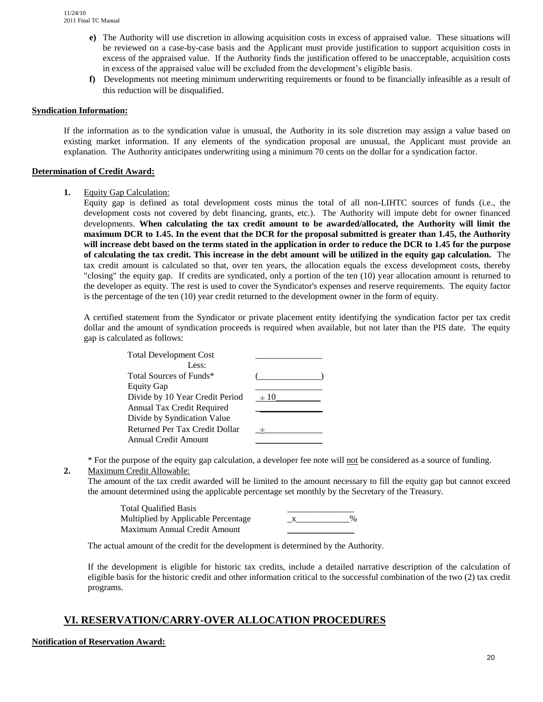- **e)** The Authority will use discretion in allowing acquisition costs in excess of appraised value. These situations will be reviewed on a case-by-case basis and the Applicant must provide justification to support acquisition costs in excess of the appraised value. If the Authority finds the justification offered to be unacceptable, acquisition costs in excess of the appraised value will be excluded from the development's eligible basis.
- **f)** Developments not meeting minimum underwriting requirements or found to be financially infeasible as a result of this reduction will be disqualified.

#### **Syndication Information:**

If the information as to the syndication value is unusual, the Authority in its sole discretion may assign a value based on existing market information. If any elements of the syndication proposal are unusual, the Applicant must provide an explanation. The Authority anticipates underwriting using a minimum 70 cents on the dollar for a syndication factor.

#### **Determination of Credit Award:**

**1.** Equity Gap Calculation:

Equity gap is defined as total development costs minus the total of all non-LIHTC sources of funds (i.e., the development costs not covered by debt financing, grants, etc.). The Authority will impute debt for owner financed developments. **When calculating the tax credit amount to be awarded/allocated, the Authority will limit the maximum DCR to 1.45. In the event that the DCR for the proposal submitted is greater than 1.45, the Authority will increase debt based on the terms stated in the application in order to reduce the DCR to 1.45 for the purpose of calculating the tax credit. This increase in the debt amount will be utilized in the equity gap calculation.** The tax credit amount is calculated so that, over ten years, the allocation equals the excess development costs, thereby "closing" the equity gap. If credits are syndicated, only a portion of the ten (10) year allocation amount is returned to the developer as equity. The rest is used to cover the Syndicator's expenses and reserve requirements. The equity factor is the percentage of the ten (10) year credit returned to the development owner in the form of equity.

A certified statement from the Syndicator or private placement entity identifying the syndication factor per tax credit dollar and the amount of syndication proceeds is required when available, but not later than the PIS date. The equity gap is calculated as follows:

| <b>Total Development Cost</b>   |           |
|---------------------------------|-----------|
| Less:                           |           |
| Total Sources of Funds*         |           |
| <b>Equity Gap</b>               |           |
| Divide by 10 Year Credit Period | $\div 10$ |
| Annual Tax Credit Required      |           |
| Divide by Syndication Value     |           |
| Returned Per Tax Credit Dollar  |           |
| Annual Credit Amount            |           |

\* For the purpose of the equity gap calculation, a developer fee note will not be considered as a source of funding.

#### **2.** Maximum Credit Allowable:

The amount of the tax credit awarded will be limited to the amount necessary to fill the equity gap but cannot exceed the amount determined using the applicable percentage set monthly by the Secretary of the Treasury.

| <b>Total Oualified Basis</b>        |      |
|-------------------------------------|------|
| Multiplied by Applicable Percentage | $\%$ |
| Maximum Annual Credit Amount        |      |

The actual amount of the credit for the development is determined by the Authority.

If the development is eligible for historic tax credits, include a detailed narrative description of the calculation of eligible basis for the historic credit and other information critical to the successful combination of the two (2) tax credit programs.

# **VI. RESERVATION/CARRY-OVER ALLOCATION PROCEDURES**

#### **Notification of Reservation Award:**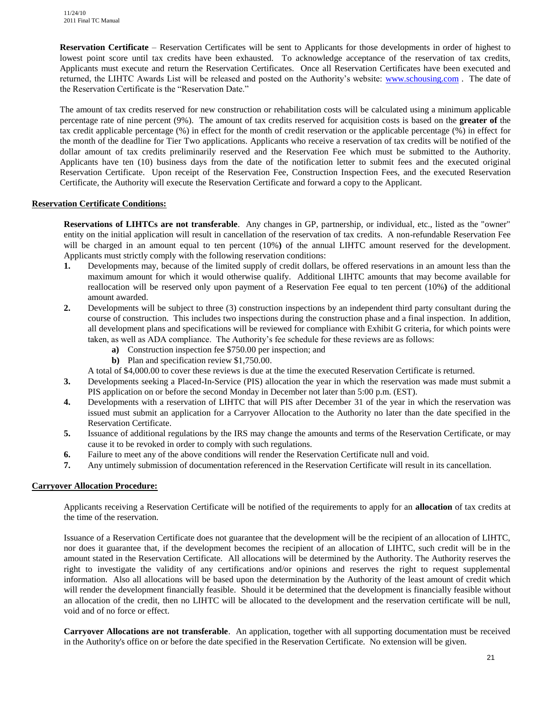**Reservation Certificate** – Reservation Certificates will be sent to Applicants for those developments in order of highest to lowest point score until tax credits have been exhausted. To acknowledge acceptance of the reservation of tax credits, Applicants must execute and return the Reservation Certificates. Once all Reservation Certificates have been executed and returned, the LIHTC Awards List will be released and posted on the Authority's website: [www.schousing.com](http://www.schousing.com/) . The date of the Reservation Certificate is the "Reservation Date."

The amount of tax credits reserved for new construction or rehabilitation costs will be calculated using a minimum applicable percentage rate of nine percent (9%). The amount of tax credits reserved for acquisition costs is based on the **greater of** the tax credit applicable percentage (%) in effect for the month of credit reservation or the applicable percentage (%) in effect for the month of the deadline for Tier Two applications. Applicants who receive a reservation of tax credits will be notified of the dollar amount of tax credits preliminarily reserved and the Reservation Fee which must be submitted to the Authority. Applicants have ten (10) business days from the date of the notification letter to submit fees and the executed original Reservation Certificate. Upon receipt of the Reservation Fee, Construction Inspection Fees, and the executed Reservation Certificate, the Authority will execute the Reservation Certificate and forward a copy to the Applicant.

# **Reservation Certificate Conditions:**

**Reservations of LIHTCs are not transferable**. Any changes in GP, partnership, or individual, etc., listed as the "owner" entity on the initial application will result in cancellation of the reservation of tax credits. A non-refundable Reservation Fee will be charged in an amount equal to ten percent (10%) of the annual LIHTC amount reserved for the development. Applicants must strictly comply with the following reservation conditions:

- **1.** Developments may, because of the limited supply of credit dollars, be offered reservations in an amount less than the maximum amount for which it would otherwise qualify. Additional LIHTC amounts that may become available for reallocation will be reserved only upon payment of a Reservation Fee equal to ten percent (10%**)** of the additional amount awarded.
- **2.** Developments will be subject to three (3) construction inspections by an independent third party consultant during the course of construction. This includes two inspections during the construction phase and a final inspection. In addition, all development plans and specifications will be reviewed for compliance with Exhibit G criteria, for which points were taken, as well as ADA compliance. The Authority's fee schedule for these reviews are as follows:
	- **a)** Construction inspection fee \$750.00 per inspection; and
	- **b)** Plan and specification review \$1,750.00.

A total of \$4,000.00 to cover these reviews is due at the time the executed Reservation Certificate is returned.

- **3.** Developments seeking a Placed-In-Service (PIS) allocation the year in which the reservation was made must submit a PIS application on or before the second Monday in December not later than 5:00 p.m. (EST).
- **4.** Developments with a reservation of LIHTC that will PIS after December 31 of the year in which the reservation was issued must submit an application for a Carryover Allocation to the Authority no later than the date specified in the Reservation Certificate.
- **5.** Issuance of additional regulations by the IRS may change the amounts and terms of the Reservation Certificate, or may cause it to be revoked in order to comply with such regulations.
- **6.** Failure to meet any of the above conditions will render the Reservation Certificate null and void.
- **7.** Any untimely submission of documentation referenced in the Reservation Certificate will result in its cancellation.

# **Carryover Allocation Procedure:**

Applicants receiving a Reservation Certificate will be notified of the requirements to apply for an **allocation** of tax credits at the time of the reservation.

Issuance of a Reservation Certificate does not guarantee that the development will be the recipient of an allocation of LIHTC, nor does it guarantee that, if the development becomes the recipient of an allocation of LIHTC, such credit will be in the amount stated in the Reservation Certificate*.* All allocations will be determined by the Authority. The Authority reserves the right to investigate the validity of any certifications and/or opinions and reserves the right to request supplemental information. Also all allocations will be based upon the determination by the Authority of the least amount of credit which will render the development financially feasible. Should it be determined that the development is financially feasible without an allocation of the credit, then no LIHTC will be allocated to the development and the reservation certificate will be null, void and of no force or effect.

**Carryover Allocations are not transferable**. An application, together with all supporting documentation must be received in the Authority's office on or before the date specified in the Reservation Certificate. No extension will be given.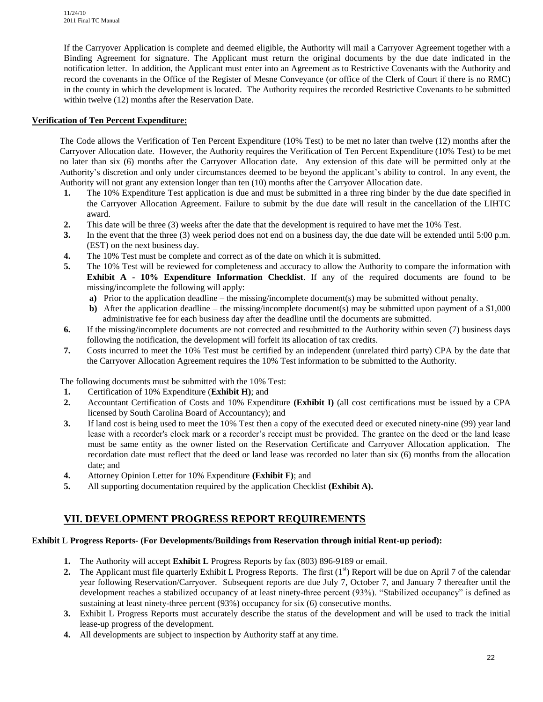If the Carryover Application is complete and deemed eligible, the Authority will mail a Carryover Agreement together with a Binding Agreement for signature. The Applicant must return the original documents by the due date indicated in the notification letter. In addition, the Applicant must enter into an Agreement as to Restrictive Covenants with the Authority and record the covenants in the Office of the Register of Mesne Conveyance (or office of the Clerk of Court if there is no RMC) in the county in which the development is located. The Authority requires the recorded Restrictive Covenants to be submitted within twelve (12) months after the Reservation Date.

# **Verification of Ten Percent Expenditure:**

The Code allows the Verification of Ten Percent Expenditure (10% Test) to be met no later than twelve (12) months after the Carryover Allocation date. However, the Authority requires the Verification of Ten Percent Expenditure (10% Test) to be met no later than six (6) months after the Carryover Allocation date.Any extension of this date will be permitted only at the Authority's discretion and only under circumstances deemed to be beyond the applicant's ability to control. In any event, the Authority will not grant any extension longer than ten (10) months after the Carryover Allocation date.

- **1.** The 10% Expenditure Test application is due and must be submitted in a three ring binder by the due date specified in the Carryover Allocation Agreement. Failure to submit by the due date will result in the cancellation of the LIHTC award.
- **2.** This date will be three (3) weeks after the date that the development is required to have met the 10% Test.
- **3.** In the event that the three (3) week period does not end on a business day, the due date will be extended until 5:00 p.m. (EST) on the next business day.
- **4.** The 10% Test must be complete and correct as of the date on which it is submitted.
- **5.** The 10% Test will be reviewed for completeness and accuracy to allow the Authority to compare the information with **Exhibit A - 10% Expenditure Information Checklist**. If any of the required documents are found to be missing/incomplete the following will apply:
	- **a)** Prior to the application deadline the missing/incomplete document(s) may be submitted without penalty.
	- **b**) After the application deadline the missing/incomplete document(s) may be submitted upon payment of a \$1,000 administrative fee for each business day after the deadline until the documents are submitted.
- **6.** If the missing/incomplete documents are not corrected and resubmitted to the Authority within seven (7) business days following the notification, the development will forfeit its allocation of tax credits.
- **7.** Costs incurred to meet the 10% Test must be certified by an independent (unrelated third party) CPA by the date that the Carryover Allocation Agreement requires the 10% Test information to be submitted to the Authority.

The following documents must be submitted with the 10% Test:

- **1.** Certification of 10% Expenditure (**Exhibit H)**; and
- **2.** Accountant Certification of Costs and 10% Expenditure **(Exhibit I)** (all cost certifications must be issued by a CPA licensed by South Carolina Board of Accountancy); and
- **3.** If land cost is being used to meet the 10% Test then a copy of the executed deed or executed ninety-nine (99) year land lease with a recorder's clock mark or a recorder's receipt must be provided. The grantee on the deed or the land lease must be same entity as the owner listed on the Reservation Certificate and Carryover Allocation application. The recordation date must reflect that the deed or land lease was recorded no later than six (6) months from the allocation date; and
- **4.** Attorney Opinion Letter for 10% Expenditure **(Exhibit F)**; and
- **5.** All supporting documentation required by the application Checklist **(Exhibit A).**

# **VII. DEVELOPMENT PROGRESS REPORT REQUIREMENTS**

# **Exhibit L Progress Reports- (For Developments/Buildings from Reservation through initial Rent-up period):**

- **1.** The Authority will accept **Exhibit L** Progress Reports by fax (803) 896-9189 or email.
- **2.** The Applicant must file quarterly Exhibit L Progress Reports. The first  $(1<sup>st</sup>)$  Report will be due on April 7 of the calendar year following Reservation/Carryover. Subsequent reports are due July 7, October 7, and January 7 thereafter until the development reaches a stabilized occupancy of at least ninety-three percent (93%). "Stabilized occupancy" is defined as sustaining at least ninety-three percent (93%) occupancy for six (6) consecutive months.
- **3.** Exhibit L Progress Reports must accurately describe the status of the development and will be used to track the initial lease-up progress of the development.
- **4.** All developments are subject to inspection by Authority staff at any time.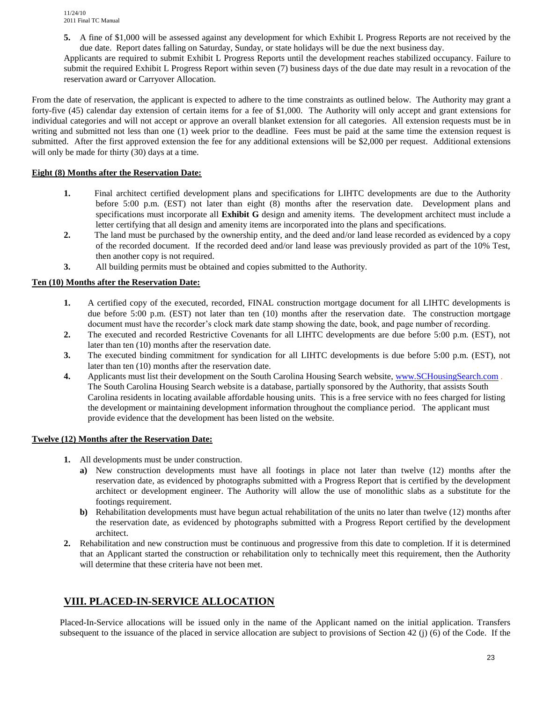**5.** A fine of \$1,000 will be assessed against any development for which Exhibit L Progress Reports are not received by the due date. Report dates falling on Saturday, Sunday, or state holidays will be due the next business day.

Applicants are required to submit Exhibit L Progress Reports until the development reaches stabilized occupancy. Failure to submit the required Exhibit L Progress Report within seven (7) business days of the due date may result in a revocation of the reservation award or Carryover Allocation.

From the date of reservation, the applicant is expected to adhere to the time constraints as outlined below. The Authority may grant a forty-five (45) calendar day extension of certain items for a fee of \$1,000. The Authority will only accept and grant extensions for individual categories and will not accept or approve an overall blanket extension for all categories. All extension requests must be in writing and submitted not less than one (1) week prior to the deadline. Fees must be paid at the same time the extension request is submitted. After the first approved extension the fee for any additional extensions will be \$2,000 per request. Additional extensions will only be made for thirty (30) days at a time.

# **Eight (8) Months after the Reservation Date:**

- **1.** Final architect certified development plans and specifications for LIHTC developments are due to the Authority before 5:00 p.m. (EST) not later than eight (8) months after the reservation date. Development plans and specifications must incorporate all **Exhibit G** design and amenity items. The development architect must include a letter certifying that all design and amenity items are incorporated into the plans and specifications.
- **2.** The land must be purchased by the ownership entity, and the deed and/or land lease recorded as evidenced by a copy of the recorded document. If the recorded deed and/or land lease was previously provided as part of the 10% Test, then another copy is not required.
- **3.** All building permits must be obtained and copies submitted to the Authority.

# **Ten (10) Months after the Reservation Date:**

- **1.** A certified copy of the executed, recorded, FINAL construction mortgage document for all LIHTC developments is due before 5:00 p.m. (EST) not later than ten (10) months after the reservation date. The construction mortgage document must have the recorder's clock mark date stamp showing the date, book, and page number of recording.
- **2.** The executed and recorded Restrictive Covenants for all LIHTC developments are due before 5:00 p.m. (EST), not later than ten (10) months after the reservation date.
- **3.** The executed binding commitment for syndication for all LIHTC developments is due before 5:00 p.m. (EST), not later than ten (10) months after the reservation date.
- **4.** Applicants must list their development on the South Carolina Housing Search website, [www.SCHousingSearch.com](http://www.schousingsearch.com/) . The South Carolina Housing Search website is a database, partially sponsored by the Authority, that assists South Carolina residents in locating available affordable housing units. This is a free service with no fees charged for listing the development or maintaining development information throughout the compliance period. The applicant must provide evidence that the development has been listed on the website.

#### **Twelve (12) Months after the Reservation Date:**

- **1.** All developments must be under construction.
	- **a)** New construction developments must have all footings in place not later than twelve (12) months after the reservation date, as evidenced by photographs submitted with a Progress Report that is certified by the development architect or development engineer. The Authority will allow the use of monolithic slabs as a substitute for the footings requirement.
	- **b)** Rehabilitation developments must have begun actual rehabilitation of the units no later than twelve (12) months after the reservation date, as evidenced by photographs submitted with a Progress Report certified by the development architect.
- **2.** Rehabilitation and new construction must be continuous and progressive from this date to completion. If it is determined that an Applicant started the construction or rehabilitation only to technically meet this requirement, then the Authority will determine that these criteria have not been met.

# **VIII. PLACED-IN-SERVICE ALLOCATION**

Placed-In-Service allocations will be issued only in the name of the Applicant named on the initial application. Transfers subsequent to the issuance of the placed in service allocation are subject to provisions of Section 42 (j) (6) of the Code. If the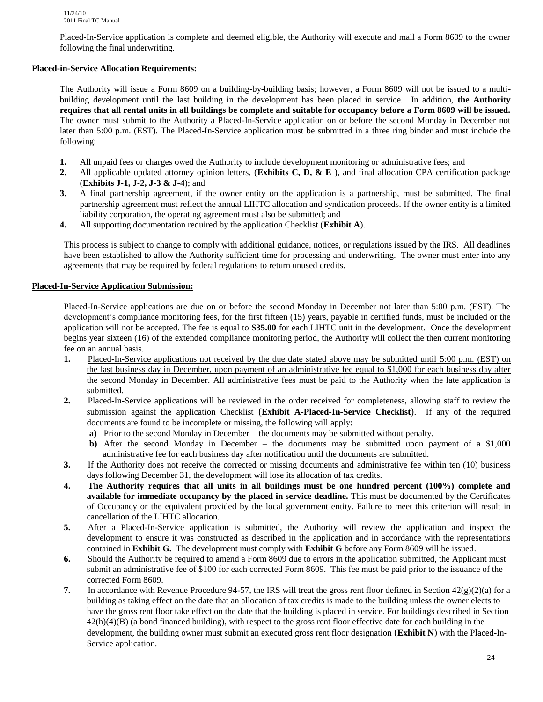Placed-In-Service application is complete and deemed eligible, the Authority will execute and mail a Form 8609 to the owner following the final underwriting.

# **Placed-in-Service Allocation Requirements:**

The Authority will issue a Form 8609 on a building-by-building basis; however, a Form 8609 will not be issued to a multibuilding development until the last building in the development has been placed in service*.* In addition, **the Authority requires that all rental units in all buildings be complete and suitable for occupancy before a Form 8609 will be issued.** The owner must submit to the Authority a Placed-In-Service application on or before the second Monday in December not later than 5:00 p.m. (EST). The Placed-In-Service application must be submitted in a three ring binder and must include the following:

- **1.** All unpaid fees or charges owed the Authority to include development monitoring or administrative fees; and
- **2.** All applicable updated attorney opinion letters, (**Exhibits C, D, & E** ), and final allocation CPA certification package (**Exhibits J-1, J-2, J-3 & J-4**); and
- **3.** A final partnership agreement, if the owner entity on the application is a partnership, must be submitted. The final partnership agreement must reflect the annual LIHTC allocation and syndication proceeds. If the owner entity is a limited liability corporation, the operating agreement must also be submitted; and
- **4.** All supporting documentation required by the application Checklist (**Exhibit A**).

This process is subject to change to comply with additional guidance, notices, or regulations issued by the IRS. All deadlines have been established to allow the Authority sufficient time for processing and underwriting. The owner must enter into any agreements that may be required by federal regulations to return unused credits.

#### **Placed-In-Service Application Submission:**

Placed-In-Service applications are due on or before the second Monday in December not later than 5:00 p.m. (EST). The development's compliance monitoring fees, for the first fifteen (15) years, payable in certified funds, must be included or the application will not be accepted. The fee is equal to **\$35.00** for each LIHTC unit in the development. Once the development begins year sixteen (16) of the extended compliance monitoring period, the Authority will collect the then current monitoring fee on an annual basis.

- **1.** Placed-In-Service applications not received by the due date stated above may be submitted until 5:00 p.m. (EST) on the last business day in December, upon payment of an administrative fee equal to \$1,000 for each business day after the second Monday in December. All administrative fees must be paid to the Authority when the late application is submitted.
- **2.** Placed-In-Service applications will be reviewed in the order received for completeness, allowing staff to review the submission against the application Checklist (**Exhibit A-Placed-In-Service Checklist**). If any of the required documents are found to be incomplete or missing, the following will apply:
	- **a)** Prior to the second Monday in December the documents may be submitted without penalty.
	- **b)** After the second Monday in December the documents may be submitted upon payment of a \$1,000 administrative fee for each business day after notification until the documents are submitted.
- **3.** If the Authority does not receive the corrected or missing documents and administrative fee within ten (10) business days following December 31, the development will lose its allocation of tax credits.
- **4. The Authority requires that all units in all buildings must be one hundred percent (100%) complete and available for immediate occupancy by the placed in service deadline.** This must be documented by the Certificates of Occupancy or the equivalent provided by the local government entity. Failure to meet this criterion will result in cancellation of the LIHTC allocation.
- **5.** After a Placed-In-Service application is submitted, the Authority will review the application and inspect the development to ensure it was constructed as described in the application and in accordance with the representations contained in **Exhibit G.** The development must comply with **Exhibit G** before any Form 8609 will be issued.
- **6.** Should the Authority be required to amend a Form 8609 due to errors in the application submitted, the Applicant must submit an administrative fee of \$100 for each corrected Form 8609. This fee must be paid prior to the issuance of the corrected Form 8609.
- **7.** In accordance with Revenue Procedure 94-57, the IRS will treat the gross rent floor defined in Section  $42(g)(2)(a)$  for a building as taking effect on the date that an allocation of tax credits is made to the building unless the owner elects to have the gross rent floor take effect on the date that the building is placed in service. For buildings described in Section  $42(h)(4)(B)$  (a bond financed building), with respect to the gross rent floor effective date for each building in the development, the building owner must submit an executed gross rent floor designation (**Exhibit N**) with the Placed-In-Service application.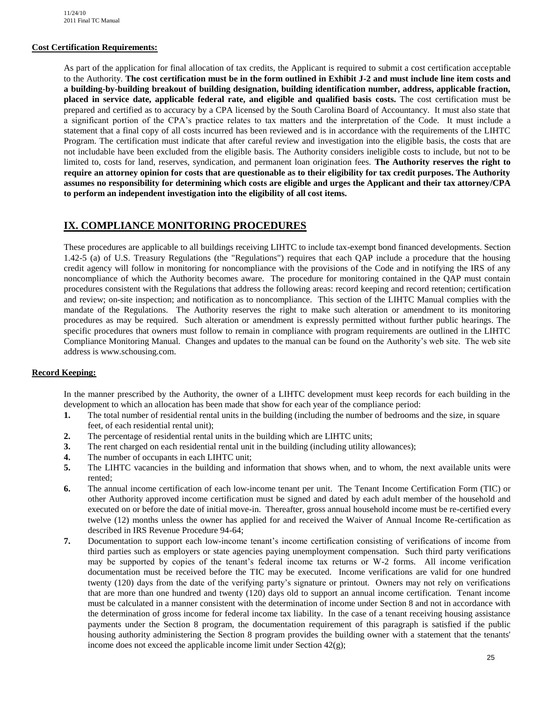#### **Cost Certification Requirements:**

As part of the application for final allocation of tax credits, the Applicant is required to submit a cost certification acceptable to the Authority. **The cost certification must be in the form outlined in Exhibit J-2 and must include line item costs and a building-by-building breakout of building designation, building identification number, address, applicable fraction, placed in service date, applicable federal rate, and eligible and qualified basis costs.** The cost certification must be prepared and certified as to accuracy by a CPA licensed by the South Carolina Board of Accountancy. It must also state that a significant portion of the CPA's practice relates to tax matters and the interpretation of the Code. It must include a statement that a final copy of all costs incurred has been reviewed and is in accordance with the requirements of the LIHTC Program. The certification must indicate that after careful review and investigation into the eligible basis, the costs that are not includable have been excluded from the eligible basis. The Authority considers ineligible costs to include, but not to be limited to, costs for land, reserves, syndication, and permanent loan origination fees. **The Authority reserves the right to require an attorney opinion for costs that are questionable as to their eligibility for tax credit purposes. The Authority assumes no responsibility for determining which costs are eligible and urges the Applicant and their tax attorney/CPA to perform an independent investigation into the eligibility of all cost items.**

# **IX. COMPLIANCE MONITORING PROCEDURES**

These procedures are applicable to all buildings receiving LIHTC to include tax-exempt bond financed developments. Section 1.42-5 (a) of U.S. Treasury Regulations (the "Regulations") requires that each QAP include a procedure that the housing credit agency will follow in monitoring for noncompliance with the provisions of the Code and in notifying the IRS of any noncompliance of which the Authority becomes aware. The procedure for monitoring contained in the QAP must contain procedures consistent with the Regulations that address the following areas: record keeping and record retention; certification and review; on-site inspection; and notification as to noncompliance. This section of the LIHTC Manual complies with the mandate of the Regulations. The Authority reserves the right to make such alteration or amendment to its monitoring procedures as may be required. Such alteration or amendment is expressly permitted without further public hearings. The specific procedures that owners must follow to remain in compliance with program requirements are outlined in the LIHTC Compliance Monitoring Manual. Changes and updates to the manual can be found on the Authority's web site. The web site address is www.schousing.com.

#### **Record Keeping:**

In the manner prescribed by the Authority, the owner of a LIHTC development must keep records for each building in the development to which an allocation has been made that show for each year of the compliance period:

- **1.** The total number of residential rental units in the building (including the number of bedrooms and the size, in square feet, of each residential rental unit);
- **2.** The percentage of residential rental units in the building which are LIHTC units;
- **3.** The rent charged on each residential rental unit in the building (including utility allowances);
- **4.** The number of occupants in each LIHTC unit;
- **5.** The LIHTC vacancies in the building and information that shows when, and to whom, the next available units were rented;
- **6.** The annual income certification of each low-income tenant per unit. The Tenant Income Certification Form (TIC) or other Authority approved income certification must be signed and dated by each adult member of the household and executed on or before the date of initial move-in. Thereafter, gross annual household income must be re-certified every twelve (12) months unless the owner has applied for and received the Waiver of Annual Income Re-certification as described in IRS Revenue Procedure 94-64;
- **7.** Documentation to support each low-income tenant's income certification consisting of verifications of income from third parties such as employers or state agencies paying unemployment compensation. Such third party verifications may be supported by copies of the tenant's federal income tax returns or W-2 forms. All income verification documentation must be received before the TIC may be executed. Income verifications are valid for one hundred twenty (120) days from the date of the verifying party's signature or printout. Owners may not rely on verifications that are more than one hundred and twenty (120) days old to support an annual income certification. Tenant income must be calculated in a manner consistent with the determination of income under Section 8 and not in accordance with the determination of gross income for federal income tax liability. In the case of a tenant receiving housing assistance payments under the Section 8 program, the documentation requirement of this paragraph is satisfied if the public housing authority administering the Section 8 program provides the building owner with a statement that the tenants' income does not exceed the applicable income limit under Section  $42(g)$ ;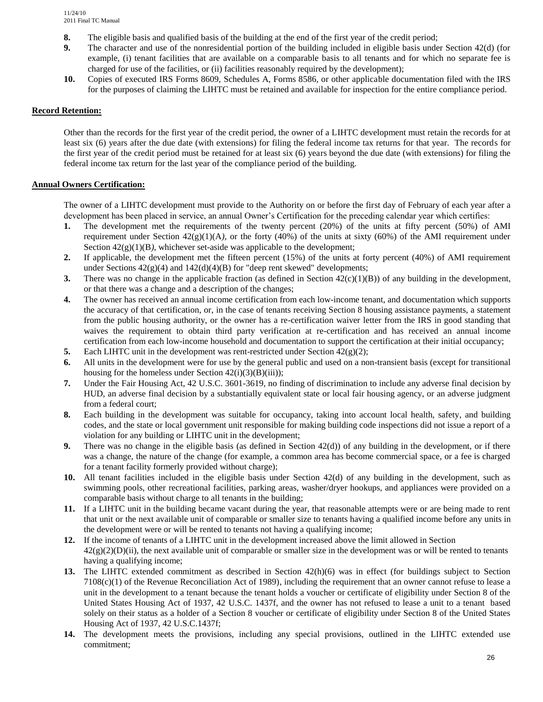- **8.** The eligible basis and qualified basis of the building at the end of the first year of the credit period;
- **9.** The character and use of the nonresidential portion of the building included in eligible basis under Section 42(d) (for example, (i) tenant facilities that are available on a comparable basis to all tenants and for which no separate fee is charged for use of the facilities, or (ii) facilities reasonably required by the development);
- **10.** Copies of executed IRS Forms 8609, Schedules A, Forms 8586, or other applicable documentation filed with the IRS for the purposes of claiming the LIHTC must be retained and available for inspection for the entire compliance period.

#### **Record Retention:**

Other than the records for the first year of the credit period, the owner of a LIHTC development must retain the records for at least six (6) years after the due date (with extensions) for filing the federal income tax returns for that year. The records for the first year of the credit period must be retained for at least six (6) years beyond the due date (with extensions) for filing the federal income tax return for the last year of the compliance period of the building.

#### **Annual Owners Certification:**

The owner of a LIHTC development must provide to the Authority on or before the first day of February of each year after a development has been placed in service, an annual Owner's Certification for the preceding calendar year which certifies:

- **1.** The development met the requirements of the twenty percent (20%) of the units at fifty percent (50%) of AMI requirement under Section  $42(g)(1)(A)$ , or the forty (40%) of the units at sixty (60%) of the AMI requirement under Section  $42(g)(1)(B)$ , whichever set-aside was applicable to the development;
- **2.** If applicable, the development met the fifteen percent (15%) of the units at forty percent (40%) of AMI requirement under Sections 42(g)(4) and 142(d)(4)(B) for "deep rent skewed" developments;
- **3.** There was no change in the applicable fraction (as defined in Section  $42(c)(1)(B)$ ) of any building in the development, or that there was a change and a description of the changes;
- **4.** The owner has received an annual income certification from each low-income tenant, and documentation which supports the accuracy of that certification, or, in the case of tenants receiving Section 8 housing assistance payments, a statement from the public housing authority, or the owner has a re-certification waiver letter from the IRS in good standing that waives the requirement to obtain third party verification at re-certification and has received an annual income certification from each low-income household and documentation to support the certification at their initial occupancy;
- **5.** Each LIHTC unit in the development was rent-restricted under Section 42(g)(2);
- **6.** All units in the development were for use by the general public and used on a non-transient basis (except for transitional housing for the homeless under Section  $42(i)(3)(B)(iii)$ ;
- **7.** Under the Fair Housing Act, 42 U.S.C. 3601-3619, no finding of discrimination to include any adverse final decision by HUD, an adverse final decision by a substantially equivalent state or local fair housing agency, or an adverse judgment from a federal court;
- **8.** Each building in the development was suitable for occupancy, taking into account local health, safety, and building codes, and the state or local government unit responsible for making building code inspections did not issue a report of a violation for any building or LIHTC unit in the development;
- **9.** There was no change in the eligible basis (as defined in Section 42(d)) of any building in the development, or if there was a change, the nature of the change (for example, a common area has become commercial space, or a fee is charged for a tenant facility formerly provided without charge);
- **10.** All tenant facilities included in the eligible basis under Section 42(d) of any building in the development, such as swimming pools, other recreational facilities, parking areas, washer/dryer hookups, and appliances were provided on a comparable basis without charge to all tenants in the building;
- **11.** If a LIHTC unit in the building became vacant during the year, that reasonable attempts were or are being made to rent that unit or the next available unit of comparable or smaller size to tenants having a qualified income before any units in the development were or will be rented to tenants not having a qualifying income;
- **12.** If the income of tenants of a LIHTC unit in the development increased above the limit allowed in Section  $42(g)(2)(D)(ii)$ , the next available unit of comparable or smaller size in the development was or will be rented to tenants having a qualifying income;
- **13.** The LIHTC extended commitment as described in Section 42(h)(6) was in effect (for buildings subject to Section  $7108(c)(1)$  of the Revenue Reconciliation Act of 1989), including the requirement that an owner cannot refuse to lease a unit in the development to a tenant because the tenant holds a voucher or certificate of eligibility under Section 8 of the United States Housing Act of 1937, 42 U.S.C. 1437f, and the owner has not refused to lease a unit to a tenant based solely on their status as a holder of a Section 8 voucher or certificate of eligibility under Section 8 of the United States Housing Act of 1937, 42 U.S.C.1437f;
- **14.** The development meets the provisions, including any special provisions, outlined in the LIHTC extended use commitment;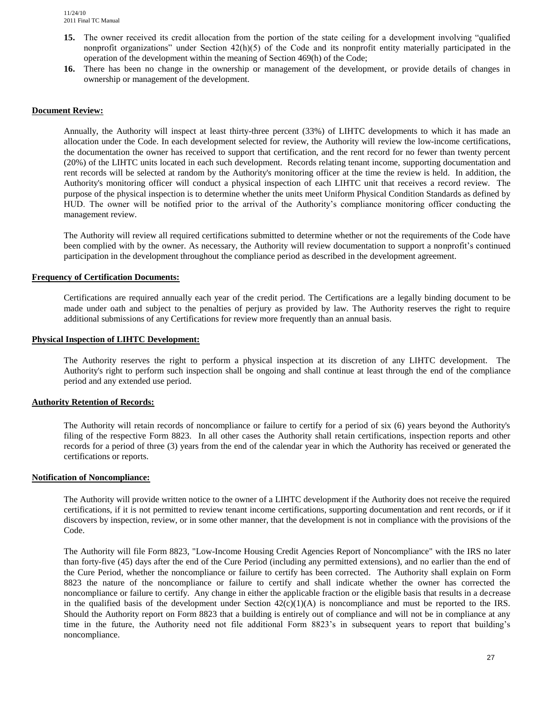- **15.** The owner received its credit allocation from the portion of the state ceiling for a development involving "qualified nonprofit organizations" under Section  $42(h)(5)$  of the Code and its nonprofit entity materially participated in the operation of the development within the meaning of Section 469(h) of the Code;
- **16.** There has been no change in the ownership or management of the development, or provide details of changes in ownership or management of the development.

#### **Document Review:**

Annually, the Authority will inspect at least thirty-three percent (33%) of LIHTC developments to which it has made an allocation under the Code. In each development selected for review, the Authority will review the low-income certifications, the documentation the owner has received to support that certification, and the rent record for no fewer than twenty percent (20%) of the LIHTC units located in each such development. Records relating tenant income, supporting documentation and rent records will be selected at random by the Authority's monitoring officer at the time the review is held. In addition, the Authority's monitoring officer will conduct a physical inspection of each LIHTC unit that receives a record review. The purpose of the physical inspection is to determine whether the units meet Uniform Physical Condition Standards as defined by HUD. The owner will be notified prior to the arrival of the Authority's compliance monitoring officer conducting the management review.

The Authority will review all required certifications submitted to determine whether or not the requirements of the Code have been complied with by the owner. As necessary, the Authority will review documentation to support a nonprofit's continued participation in the development throughout the compliance period as described in the development agreement.

#### **Frequency of Certification Documents:**

Certifications are required annually each year of the credit period. The Certifications are a legally binding document to be made under oath and subject to the penalties of perjury as provided by law. The Authority reserves the right to require additional submissions of any Certifications for review more frequently than an annual basis.

#### **Physical Inspection of LIHTC Development:**

The Authority reserves the right to perform a physical inspection at its discretion of any LIHTC development. The Authority's right to perform such inspection shall be ongoing and shall continue at least through the end of the compliance period and any extended use period.

#### **Authority Retention of Records:**

The Authority will retain records of noncompliance or failure to certify for a period of six (6) years beyond the Authority's filing of the respective Form 8823. In all other cases the Authority shall retain certifications, inspection reports and other records for a period of three (3) years from the end of the calendar year in which the Authority has received or generated the certifications or reports.

#### **Notification of Noncompliance:**

The Authority will provide written notice to the owner of a LIHTC development if the Authority does not receive the required certifications, if it is not permitted to review tenant income certifications, supporting documentation and rent records, or if it discovers by inspection, review, or in some other manner, that the development is not in compliance with the provisions of the Code.

The Authority will file Form 8823, "Low-Income Housing Credit Agencies Report of Noncompliance" with the IRS no later than forty-five (45) days after the end of the Cure Period (including any permitted extensions), and no earlier than the end of the Cure Period, whether the noncompliance or failure to certify has been corrected*.* The Authority shall explain on Form 8823 the nature of the noncompliance or failure to certify and shall indicate whether the owner has corrected the noncompliance or failure to certify. Any change in either the applicable fraction or the eligible basis that results in a decrease in the qualified basis of the development under Section  $42(c)(1)(A)$  is noncompliance and must be reported to the IRS. Should the Authority report on Form 8823 that a building is entirely out of compliance and will not be in compliance at any time in the future, the Authority need not file additional Form 8823's in subsequent years to report that building's noncompliance.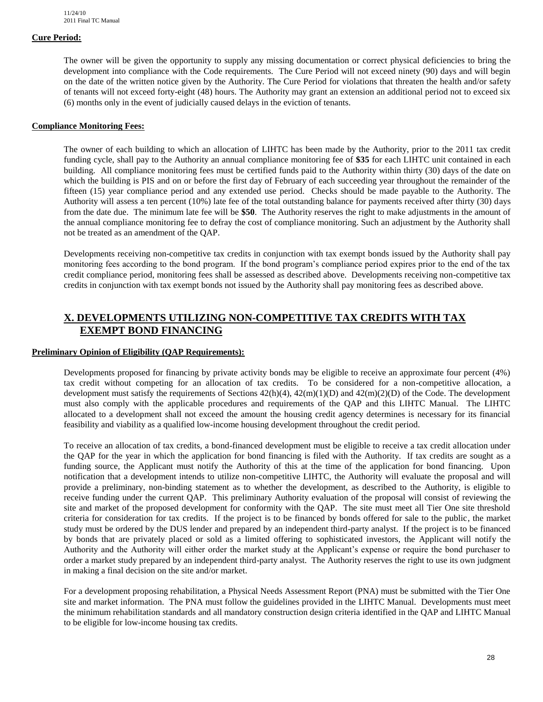### **Cure Period:**

The owner will be given the opportunity to supply any missing documentation or correct physical deficiencies to bring the development into compliance with the Code requirements. The Cure Period will not exceed ninety (90) days and will begin on the date of the written notice given by the Authority. The Cure Period for violations that threaten the health and/or safety of tenants will not exceed forty-eight (48) hours. The Authority may grant an extension an additional period not to exceed six (6) months only in the event of judicially caused delays in the eviction of tenants.

### **Compliance Monitoring Fees:**

The owner of each building to which an allocation of LIHTC has been made by the Authority, prior to the 2011 tax credit funding cycle, shall pay to the Authority an annual compliance monitoring fee of **\$35** for each LIHTC unit contained in each building. All compliance monitoring fees must be certified funds paid to the Authority within thirty (30) days of the date on which the building is PIS and on or before the first day of February of each succeeding year throughout the remainder of the fifteen (15) year compliance period and any extended use period. Checks should be made payable to the Authority. The Authority will assess a ten percent (10%) late fee of the total outstanding balance for payments received after thirty (30) days from the date due. The minimum late fee will be **\$50**. The Authority reserves the right to make adjustments in the amount of the annual compliance monitoring fee to defray the cost of compliance monitoring. Such an adjustment by the Authority shall not be treated as an amendment of the QAP.

Developments receiving non-competitive tax credits in conjunction with tax exempt bonds issued by the Authority shall pay monitoring fees according to the bond program. If the bond program's compliance period expires prior to the end of the tax credit compliance period, monitoring fees shall be assessed as described above. Developments receiving non-competitive tax credits in conjunction with tax exempt bonds not issued by the Authority shall pay monitoring fees as described above.

# **X. DEVELOPMENTS UTILIZING NON-COMPETITIVE TAX CREDITS WITH TAX EXEMPT BOND FINANCING**

#### **Preliminary Opinion of Eligibility (QAP Requirements):**

Developments proposed for financing by private activity bonds may be eligible to receive an approximate four percent (4%) tax credit without competing for an allocation of tax credits. To be considered for a non-competitive allocation, a development must satisfy the requirements of Sections  $42(h)(4)$ ,  $42(m)(1)(D)$  and  $42(m)(2)(D)$  of the Code. The development must also comply with the applicable procedures and requirements of the QAP and this LIHTC Manual. The LIHTC allocated to a development shall not exceed the amount the housing credit agency determines is necessary for its financial feasibility and viability as a qualified low-income housing development throughout the credit period.

To receive an allocation of tax credits, a bond-financed development must be eligible to receive a tax credit allocation under the QAP for the year in which the application for bond financing is filed with the Authority. If tax credits are sought as a funding source, the Applicant must notify the Authority of this at the time of the application for bond financing. Upon notification that a development intends to utilize non-competitive LIHTC, the Authority will evaluate the proposal and will provide a preliminary, non-binding statement as to whether the development, as described to the Authority, is eligible to receive funding under the current QAP. This preliminary Authority evaluation of the proposal will consist of reviewing the site and market of the proposed development for conformity with the QAP. The site must meet all Tier One site threshold criteria for consideration for tax credits. If the project is to be financed by bonds offered for sale to the public, the market study must be ordered by the DUS lender and prepared by an independent third-party analyst. If the project is to be financed by bonds that are privately placed or sold as a limited offering to sophisticated investors, the Applicant will notify the Authority and the Authority will either order the market study at the Applicant's expense or require the bond purchaser to order a market study prepared by an independent third-party analyst. The Authority reserves the right to use its own judgment in making a final decision on the site and/or market.

For a development proposing rehabilitation, a Physical Needs Assessment Report (PNA) must be submitted with the Tier One site and market information. The PNA must follow the guidelines provided in the LIHTC Manual. Developments must meet the minimum rehabilitation standards and all mandatory construction design criteria identified in the QAP and LIHTC Manual to be eligible for low-income housing tax credits.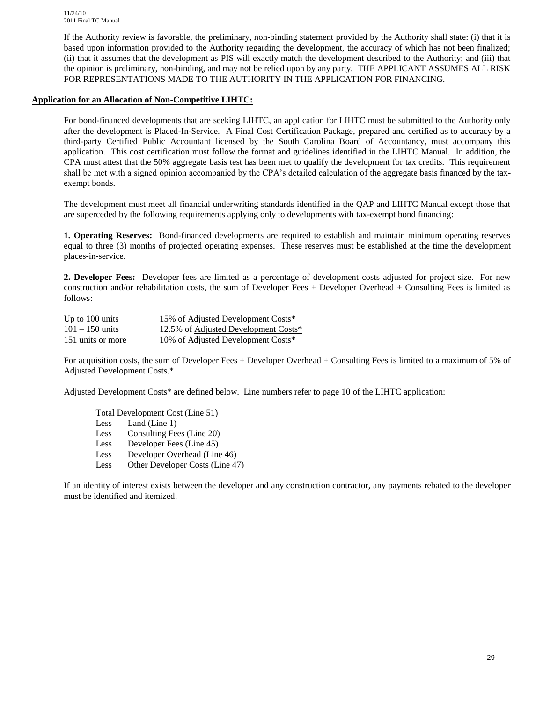If the Authority review is favorable, the preliminary, non-binding statement provided by the Authority shall state: (i) that it is based upon information provided to the Authority regarding the development, the accuracy of which has not been finalized; (ii) that it assumes that the development as PIS will exactly match the development described to the Authority; and (iii) that the opinion is preliminary, non-binding, and may not be relied upon by any party. THE APPLICANT ASSUMES ALL RISK FOR REPRESENTATIONS MADE TO THE AUTHORITY IN THE APPLICATION FOR FINANCING.

# **Application for an Allocation of Non-Competitive LIHTC:**

For bond-financed developments that are seeking LIHTC, an application for LIHTC must be submitted to the Authority only after the development is Placed-In-Service. A Final Cost Certification Package, prepared and certified as to accuracy by a third-party Certified Public Accountant licensed by the South Carolina Board of Accountancy, must accompany this application. This cost certification must follow the format and guidelines identified in the LIHTC Manual. In addition, the CPA must attest that the 50% aggregate basis test has been met to qualify the development for tax credits. This requirement shall be met with a signed opinion accompanied by the CPA's detailed calculation of the aggregate basis financed by the taxexempt bonds.

The development must meet all financial underwriting standards identified in the QAP and LIHTC Manual except those that are superceded by the following requirements applying only to developments with tax-exempt bond financing:

**1. Operating Reserves:** Bond-financed developments are required to establish and maintain minimum operating reserves equal to three (3) months of projected operating expenses. These reserves must be established at the time the development places-in-service.

**2. Developer Fees:** Developer fees are limited as a percentage of development costs adjusted for project size. For new construction and/or rehabilitation costs, the sum of Developer Fees + Developer Overhead + Consulting Fees is limited as follows:

| Up to $100 \text{ units}$ | 15% of Adjusted Development Costs*   |
|---------------------------|--------------------------------------|
| $101 - 150$ units         | 12.5% of Adjusted Development Costs* |
| 151 units or more         | 10% of Adjusted Development Costs*   |

For acquisition costs, the sum of Developer Fees + Developer Overhead + Consulting Fees is limited to a maximum of 5% of Adjusted Development Costs.\*

Adjusted Development Costs\* are defined below. Line numbers refer to page 10 of the LIHTC application:

Total Development Cost (Line 51) Less Land (Line 1) Less Consulting Fees (Line 20) Less Developer Fees (Line 45) Less Developer Overhead (Line 46) Less Other Developer Costs (Line 47)

If an identity of interest exists between the developer and any construction contractor, any payments rebated to the developer must be identified and itemized.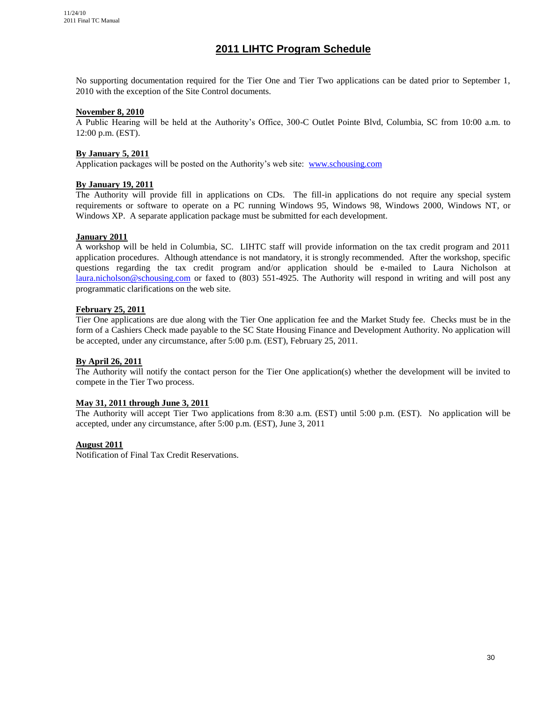# **2011 LIHTC Program Schedule**

No supporting documentation required for the Tier One and Tier Two applications can be dated prior to September 1, 2010 with the exception of the Site Control documents.

#### **November 8, 2010**

A Public Hearing will be held at the Authority's Office, 300-C Outlet Pointe Blvd, Columbia, SC from 10:00 a.m. to 12:00 p.m. (EST).

#### **By January 5, 2011**

Application packages will be posted on the Authority's web site: [www.schousing.com](http://www.schousing.com/)

#### **By January 19, 2011**

The Authority will provide fill in applications on CDs. The fill-in applications do not require any special system requirements or software to operate on a PC running Windows 95, Windows 98, Windows 2000, Windows NT, or Windows XP. A separate application package must be submitted for each development.

#### **January 2011**

A workshop will be held in Columbia, SC. LIHTC staff will provide information on the tax credit program and 2011 application procedures. Although attendance is not mandatory, it is strongly recommended. After the workshop, specific questions regarding the tax credit program and/or application should be e-mailed to Laura Nicholson at [laura.nicholson@schousing.com](mailto:laura.nicholson@schousing.com) or faxed to (803) 551-4925. The Authority will respond in writing and will post any programmatic clarifications on the web site.

#### **February 25, 2011**

Tier One applications are due along with the Tier One application fee and the Market Study fee. Checks must be in the form of a Cashiers Check made payable to the SC State Housing Finance and Development Authority. No application will be accepted, under any circumstance, after 5:00 p.m. (EST), February 25, 2011.

#### **By April 26, 2011**

The Authority will notify the contact person for the Tier One application(s) whether the development will be invited to compete in the Tier Two process.

#### **May 31, 2011 through June 3, 2011**

The Authority will accept Tier Two applications from 8:30 a.m. (EST) until 5:00 p.m. (EST). No application will be accepted, under any circumstance, after 5:00 p.m. (EST), June 3, 2011

#### **August 2011**

Notification of Final Tax Credit Reservations.